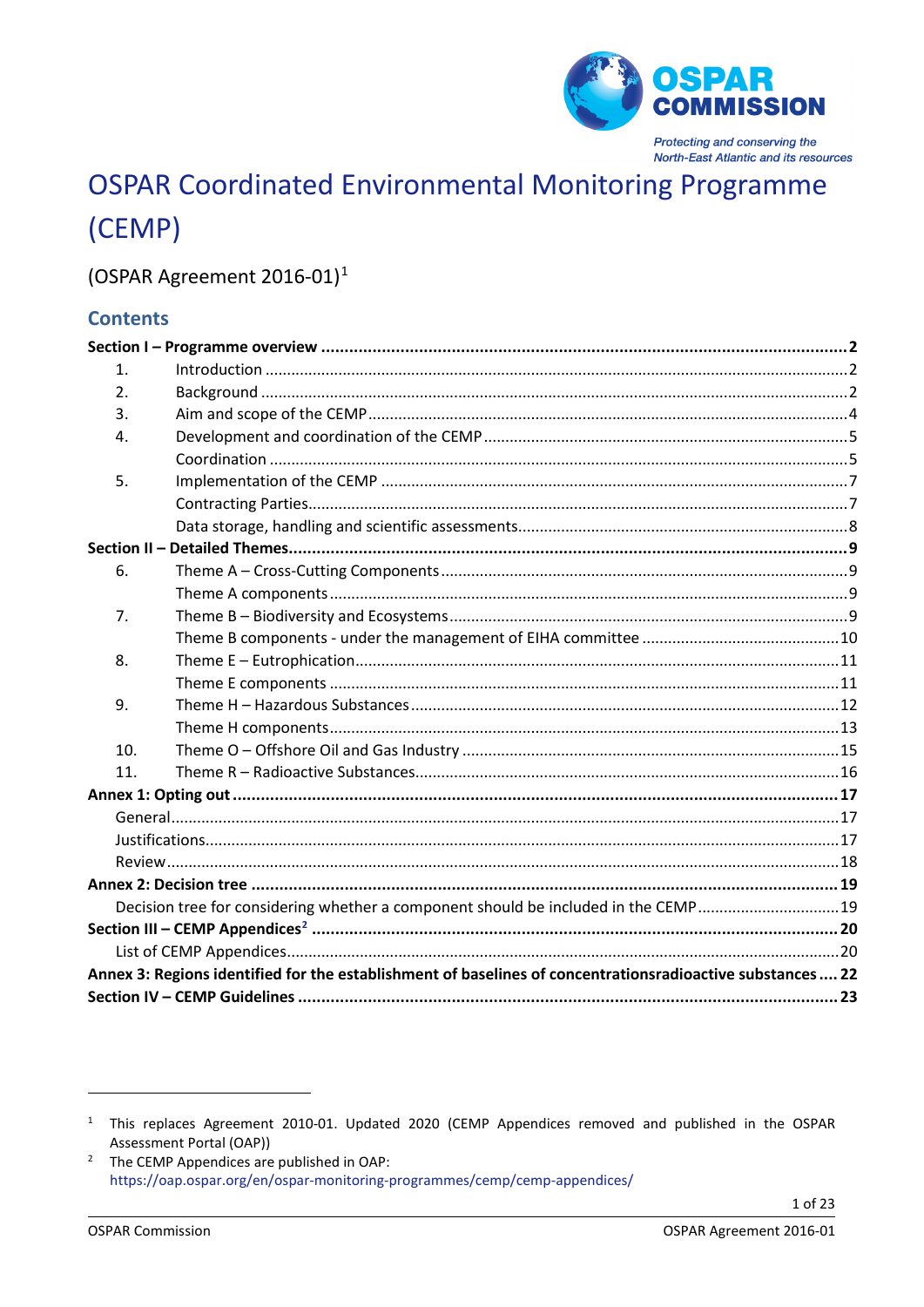

# **OSPAR Coordinated Environmental Monitoring Programme** (CEMP)

## (OSPAR Agreement 2016-01)<sup>1</sup>

## **Contents**

| $\mathbf{1}$ . |                                                                                                            |  |
|----------------|------------------------------------------------------------------------------------------------------------|--|
| 2.             |                                                                                                            |  |
| 3.             |                                                                                                            |  |
| 4.             |                                                                                                            |  |
|                |                                                                                                            |  |
| 5.             |                                                                                                            |  |
|                |                                                                                                            |  |
|                |                                                                                                            |  |
|                |                                                                                                            |  |
| 6.             |                                                                                                            |  |
|                |                                                                                                            |  |
| 7.             |                                                                                                            |  |
|                |                                                                                                            |  |
| 8.             |                                                                                                            |  |
|                |                                                                                                            |  |
| 9.             |                                                                                                            |  |
|                |                                                                                                            |  |
| 10.            |                                                                                                            |  |
| 11.            |                                                                                                            |  |
|                |                                                                                                            |  |
|                |                                                                                                            |  |
|                |                                                                                                            |  |
|                |                                                                                                            |  |
|                |                                                                                                            |  |
|                | Decision tree for considering whether a component should be included in the CEMP19                         |  |
|                |                                                                                                            |  |
|                |                                                                                                            |  |
|                | Annex 3: Regions identified for the establishment of baselines of concentrationsradioactive substances  22 |  |
|                |                                                                                                            |  |

<span id="page-0-0"></span><sup>&</sup>lt;sup>1</sup> This replaces Agreement 2010-01. Updated 2020 (CEMP Appendices removed and published in the OSPAR Assessment Portal (OAP))

<span id="page-0-1"></span><sup>&</sup>lt;sup>2</sup> The CEMP Appendices are published in OAP: https://oap.ospar.org/en/ospar-monitoring-programmes/cemp/cemp-appendices/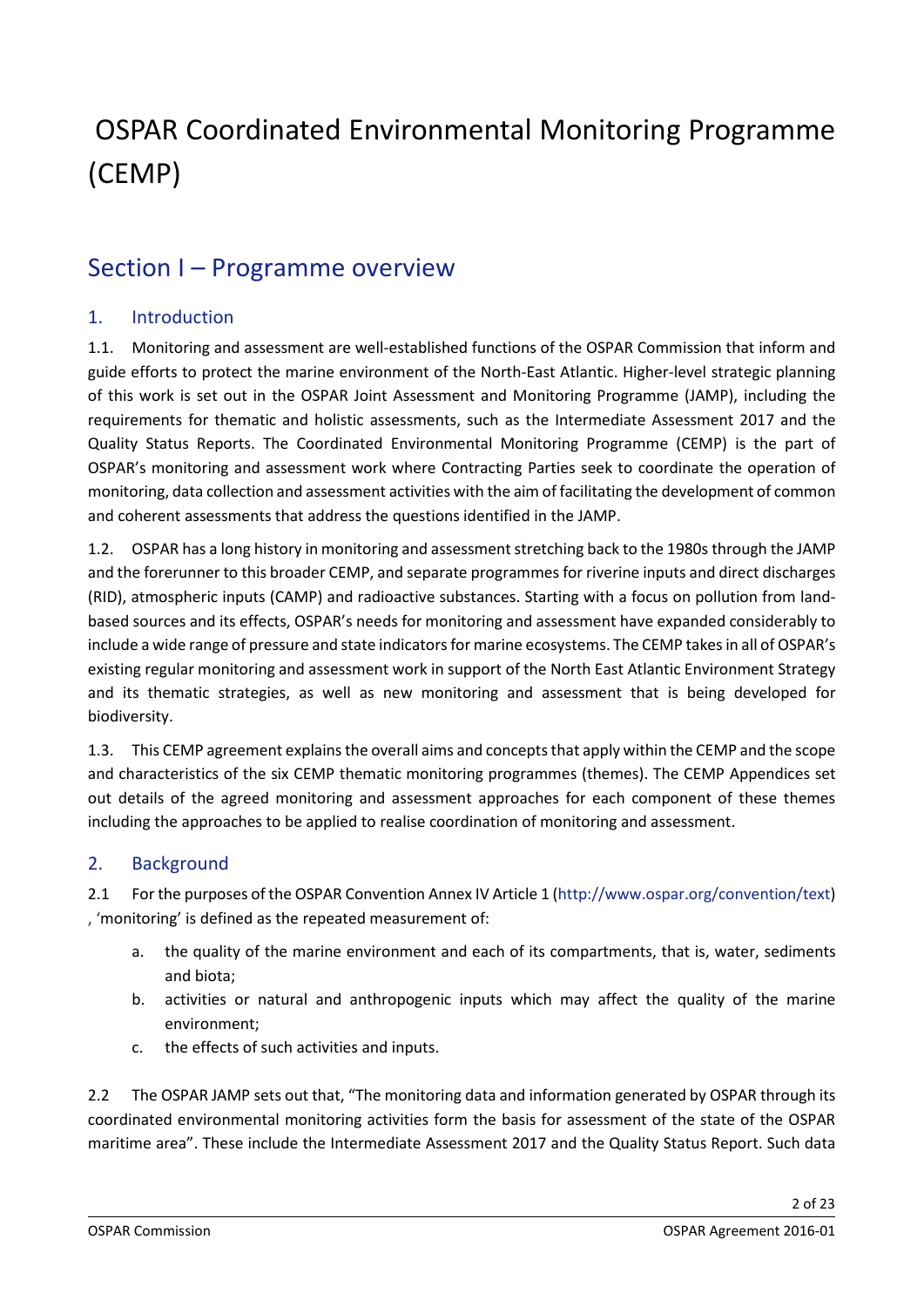# OSPAR Coordinated Environmental Monitoring Programme (CEMP)

## <span id="page-1-0"></span>Section I – Programme overview

## <span id="page-1-1"></span>1. Introduction

1.1. Monitoring and assessment are well-established functions of the OSPAR Commission that inform and guide efforts to protect the marine environment of the North-East Atlantic. Higher-level strategic planning of this work is set out in the OSPAR Joint Assessment and Monitoring Programme (JAMP), including the requirements for thematic and holistic assessments, such as the Intermediate Assessment 2017 and the Quality Status Reports. The Coordinated Environmental Monitoring Programme (CEMP) is the part of OSPAR's monitoring and assessment work where Contracting Parties seek to coordinate the operation of monitoring, data collection and assessment activities with the aim of facilitating the development of common and coherent assessments that address the questions identified in the JAMP.

1.2. OSPAR has a long history in monitoring and assessment stretching back to the 1980s through the JAMP and the forerunner to this broader CEMP, and separate programmes for riverine inputs and direct discharges (RID), atmospheric inputs (CAMP) and radioactive substances. Starting with a focus on pollution from landbased sources and its effects, OSPAR's needs for monitoring and assessment have expanded considerably to include a wide range of pressure and state indicators for marine ecosystems. The CEMP takes in all of OSPAR's existing regular monitoring and assessment work in support of the North East Atlantic Environment Strategy and its thematic strategies, as well as new monitoring and assessment that is being developed for biodiversity.

1.3. This CEMP agreement explains the overall aims and concepts that apply within the CEMP and the scope and characteristics of the six CEMP thematic monitoring programmes (themes). The CEMP Appendices set out details of the agreed monitoring and assessment approaches for each component of these themes including the approaches to be applied to realise coordination of monitoring and assessment.

### <span id="page-1-2"></span>2. Background

2.1 For the purposes of the OSPAR Convention Annex IV Article 1 [\(http://www.ospar.org/convention/text\)](http://www.ospar.org/convention/text) [, '](file://INTRANET/org/DBASE/DECRECS/AGREEMENTS/,%20)monitoring' is defined as the repeated measurement of:

- a. the quality of the marine environment and each of its compartments, that is, water, sediments and biota;
- b. activities or natural and anthropogenic inputs which may affect the quality of the marine environment;
- c. the effects of such activities and inputs.

2.2 The OSPAR JAMP sets out that, "The monitoring data and information generated by OSPAR through its coordinated environmental monitoring activities form the basis for assessment of the state of the OSPAR maritime area". These include the Intermediate Assessment 2017 and the Quality Status Report. Such data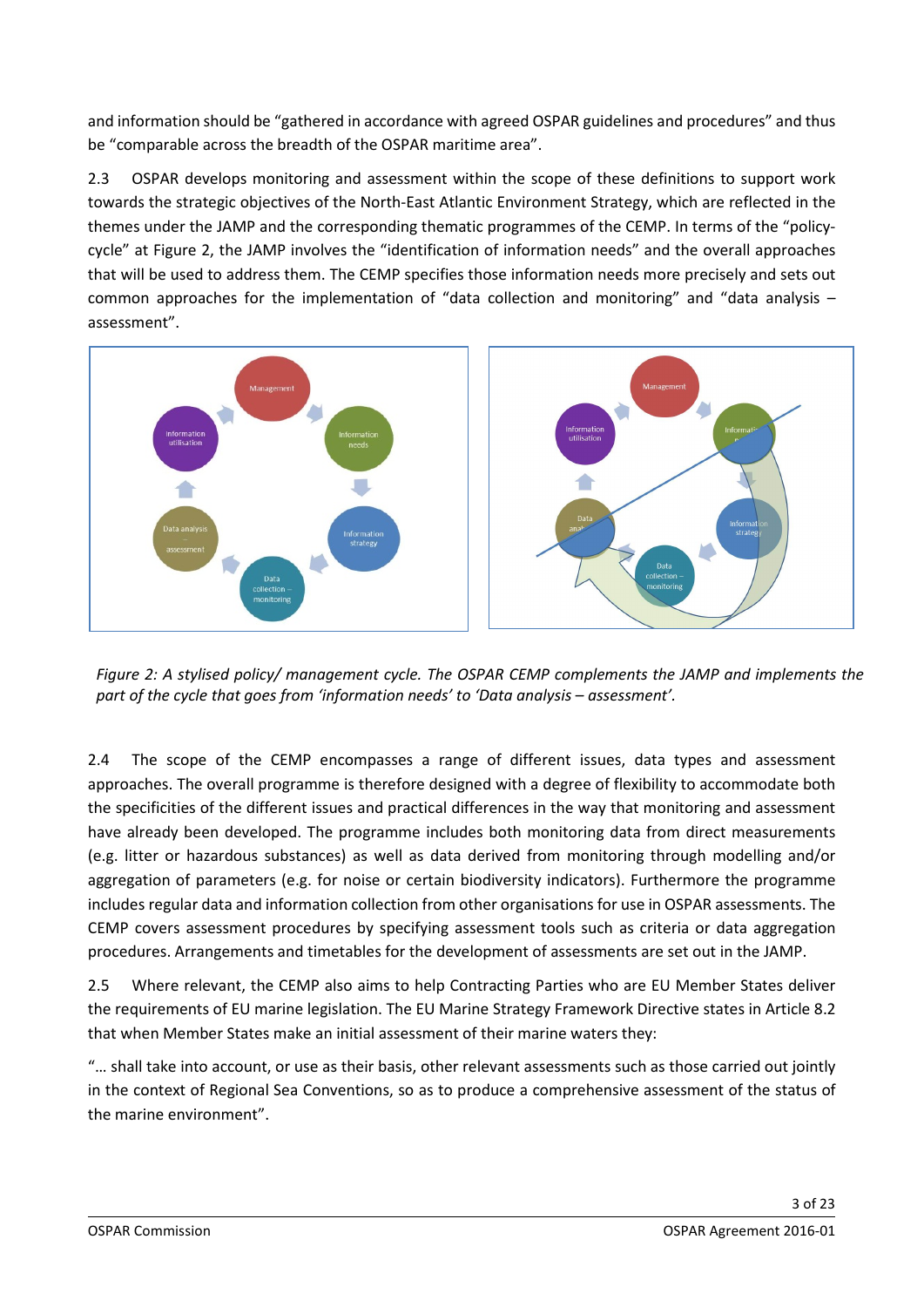and information should be "gathered in accordance with agreed OSPAR guidelines and procedures" and thus be "comparable across the breadth of the OSPAR maritime area".

2.3 OSPAR develops monitoring and assessment within the scope of these definitions to support work towards the strategic objectives of the North-East Atlantic Environment Strategy, which are reflected in the themes under the JAMP and the corresponding thematic programmes of the CEMP. In terms of the "policycycle" at Figure 2, the JAMP involves the "identification of information needs" and the overall approaches that will be used to address them. The CEMP specifies those information needs more precisely and sets out common approaches for the implementation of "data collection and monitoring" and "data analysis – assessment".



*Figure 2: A stylised policy/ management cycle. The OSPAR CEMP complements the JAMP and implements the part of the cycle that goes from 'information needs' to 'Data analysis – assessment'.*

2.4 The scope of the CEMP encompasses a range of different issues, data types and assessment approaches. The overall programme is therefore designed with a degree of flexibility to accommodate both the specificities of the different issues and practical differences in the way that monitoring and assessment have already been developed. The programme includes both monitoring data from direct measurements (e.g. litter or hazardous substances) as well as data derived from monitoring through modelling and/or aggregation of parameters (e.g. for noise or certain biodiversity indicators). Furthermore the programme includes regular data and information collection from other organisations for use in OSPAR assessments. The CEMP covers assessment procedures by specifying assessment tools such as criteria or data aggregation procedures. Arrangements and timetables for the development of assessments are set out in the JAMP.

2.5 Where relevant, the CEMP also aims to help Contracting Parties who are EU Member States deliver the requirements of EU marine legislation. The EU Marine Strategy Framework Directive states in Article 8.2 that when Member States make an initial assessment of their marine waters they:

"… shall take into account, or use as their basis, other relevant assessments such as those carried out jointly in the context of Regional Sea Conventions, so as to produce a comprehensive assessment of the status of the marine environment".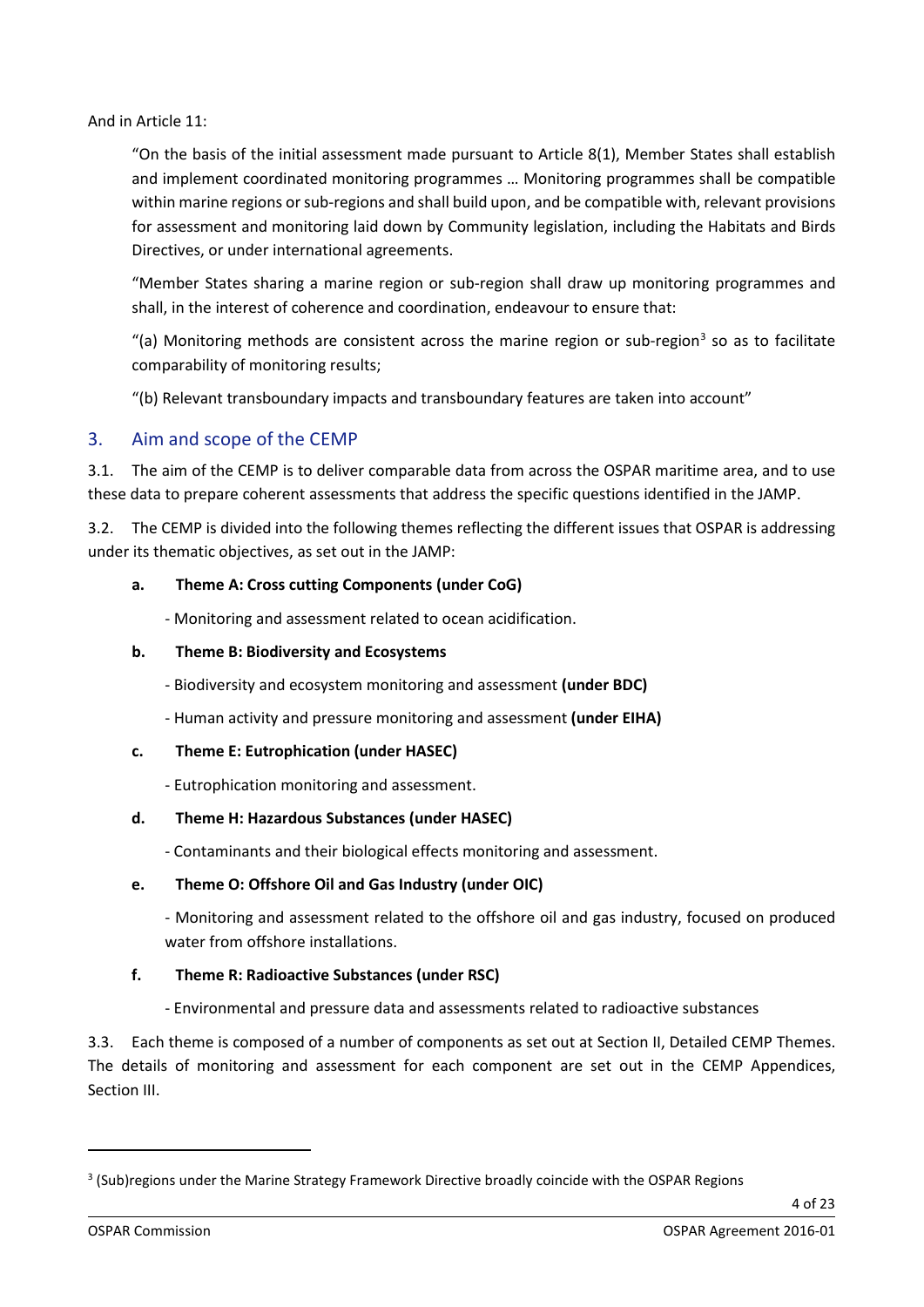And in Article 11:

"On the basis of the initial assessment made pursuant to Article 8(1), Member States shall establish and implement coordinated monitoring programmes … Monitoring programmes shall be compatible within marine regions or sub-regions and shall build upon, and be compatible with, relevant provisions for assessment and monitoring laid down by Community legislation, including the Habitats and Birds Directives, or under international agreements.

"Member States sharing a marine region or sub-region shall draw up monitoring programmes and shall, in the interest of coherence and coordination, endeavour to ensure that:

"(a) Monitoring methods are consistent across the marine region or sub-region<sup>[3](#page-3-1)</sup> so as to facilitate comparability of monitoring results;

"(b) Relevant transboundary impacts and transboundary features are taken into account"

#### <span id="page-3-0"></span>3. Aim and scope of the CEMP

3.1. The aim of the CEMP is to deliver comparable data from across the OSPAR maritime area, and to use these data to prepare coherent assessments that address the specific questions identified in the JAMP.

3.2. The CEMP is divided into the following themes reflecting the different issues that OSPAR is addressing under its thematic objectives, as set out in the JAMP:

#### **a. Theme A: Cross cutting Components (under CoG)**

- Monitoring and assessment related to ocean acidification.

#### **b. Theme B: Biodiversity and Ecosystems**

- Biodiversity and ecosystem monitoring and assessment **(under BDC)**

- Human activity and pressure monitoring and assessment **(under EIHA)**

#### **c. Theme E: Eutrophication (under HASEC)**

- Eutrophication monitoring and assessment.

#### **d. Theme H: Hazardous Substances (under HASEC)**

- Contaminants and their biological effects monitoring and assessment.

#### **e. Theme O: Offshore Oil and Gas Industry (under OIC)**

- Monitoring and assessment related to the offshore oil and gas industry, focused on produced water from offshore installations.

#### **f. Theme R: Radioactive Substances (under RSC)**

- Environmental and pressure data and assessments related to radioactive substances

3.3. Each theme is composed of a number of components as set out at Section II, Detailed CEMP Themes. The details of monitoring and assessment for each component are set out in the CEMP Appendices, Section III.

<span id="page-3-1"></span><sup>&</sup>lt;sup>3</sup> (Sub)regions under the Marine Strategy Framework Directive broadly coincide with the OSPAR Regions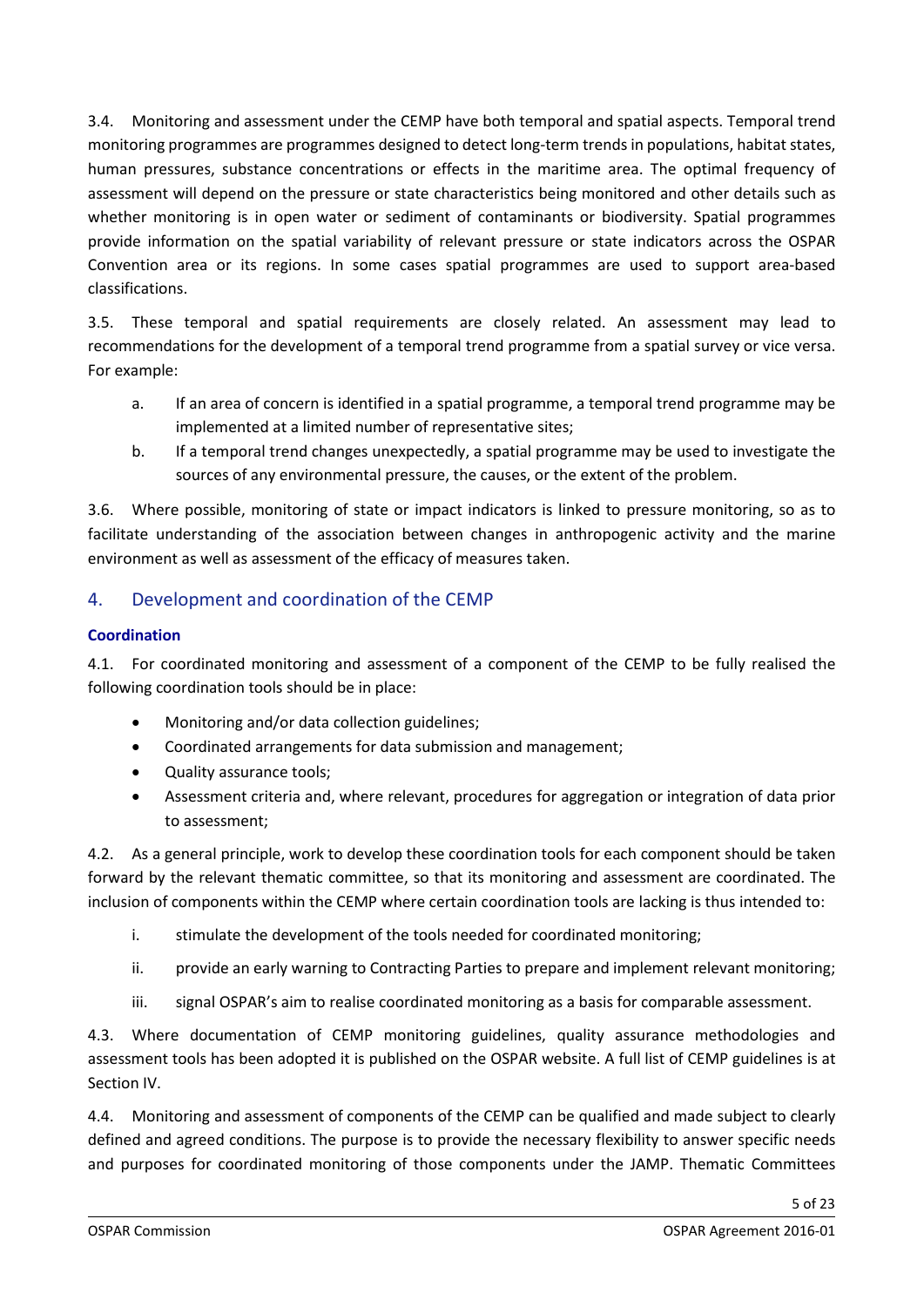3.4. Monitoring and assessment under the CEMP have both temporal and spatial aspects. Temporal trend monitoring programmes are programmes designed to detect long-term trends in populations, habitat states, human pressures, substance concentrations or effects in the maritime area. The optimal frequency of assessment will depend on the pressure or state characteristics being monitored and other details such as whether monitoring is in open water or sediment of contaminants or biodiversity. Spatial programmes provide information on the spatial variability of relevant pressure or state indicators across the OSPAR Convention area or its regions. In some cases spatial programmes are used to support area-based classifications.

3.5. These temporal and spatial requirements are closely related. An assessment may lead to recommendations for the development of a temporal trend programme from a spatial survey or vice versa. For example:

- a. If an area of concern is identified in a spatial programme, a temporal trend programme may be implemented at a limited number of representative sites;
- b. If a temporal trend changes unexpectedly, a spatial programme may be used to investigate the sources of any environmental pressure, the causes, or the extent of the problem.

3.6. Where possible, monitoring of state or impact indicators is linked to pressure monitoring, so as to facilitate understanding of the association between changes in anthropogenic activity and the marine environment as well as assessment of the efficacy of measures taken.

## <span id="page-4-0"></span>4. Development and coordination of the CEMP

#### <span id="page-4-1"></span>**Coordination**

4.1. For coordinated monitoring and assessment of a component of the CEMP to be fully realised the following coordination tools should be in place:

- Monitoring and/or data collection guidelines;
- Coordinated arrangements for data submission and management;
- Quality assurance tools;
- Assessment criteria and, where relevant, procedures for aggregation or integration of data prior to assessment;

4.2. As a general principle, work to develop these coordination tools for each component should be taken forward by the relevant thematic committee, so that its monitoring and assessment are coordinated. The inclusion of components within the CEMP where certain coordination tools are lacking is thus intended to:

- i. stimulate the development of the tools needed for coordinated monitoring;
- ii. provide an early warning to Contracting Parties to prepare and implement relevant monitoring;
- iii. signal OSPAR's aim to realise coordinated monitoring as a basis for comparable assessment.

4.3. Where documentation of CEMP monitoring guidelines, quality assurance methodologies and assessment tools has been adopted it is published on the OSPAR website. A full list of CEMP guidelines is at Section IV.

4.4. Monitoring and assessment of components of the CEMP can be qualified and made subject to clearly defined and agreed conditions. The purpose is to provide the necessary flexibility to answer specific needs and purposes for coordinated monitoring of those components under the JAMP. Thematic Committees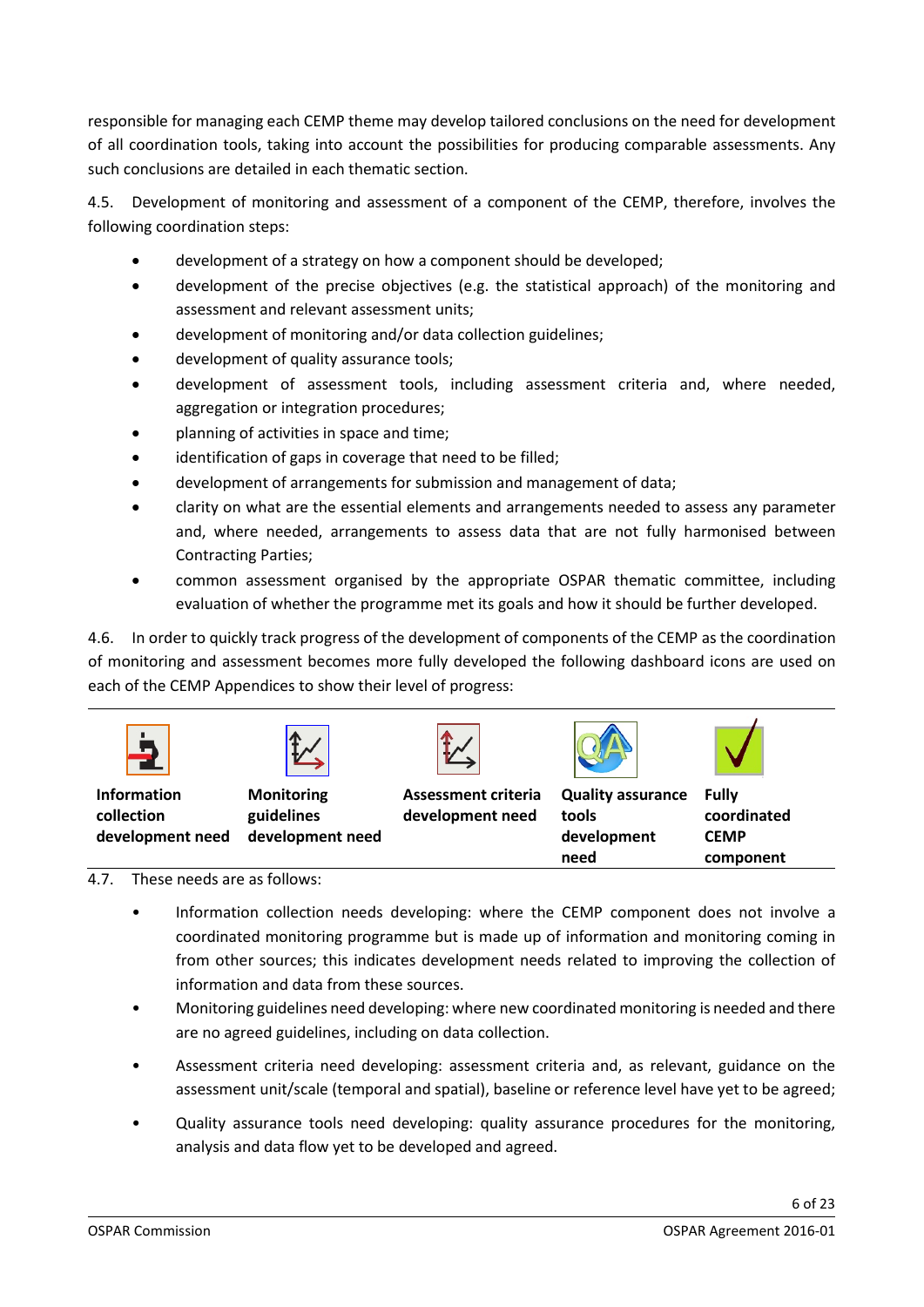responsible for managing each CEMP theme may develop tailored conclusions on the need for development of all coordination tools, taking into account the possibilities for producing comparable assessments. Any such conclusions are detailed in each thematic section.

4.5. Development of monitoring and assessment of a component of the CEMP, therefore, involves the following coordination steps:

- development of a strategy on how a component should be developed;
- development of the precise objectives (e.g. the statistical approach) of the monitoring and assessment and relevant assessment units;
- development of monitoring and/or data collection guidelines;
- development of quality assurance tools;
- development of assessment tools, including assessment criteria and, where needed, aggregation or integration procedures;
- planning of activities in space and time;
- identification of gaps in coverage that need to be filled;
- development of arrangements for submission and management of data;
- clarity on what are the essential elements and arrangements needed to assess any parameter and, where needed, arrangements to assess data that are not fully harmonised between Contracting Parties;
- common assessment organised by the appropriate OSPAR thematic committee, including evaluation of whether the programme met its goals and how it should be further developed.

4.6. In order to quickly track progress of the development of components of the CEMP as the coordination of monitoring and assessment becomes more fully developed the following dashboard icons are used on each of the CEMP Appendices to show their level of progress:



#### 4.7. These needs are as follows:

• Information collection needs developing: where the CEMP component does not involve a coordinated monitoring programme but is made up of information and monitoring coming in from other sources; this indicates development needs related to improving the collection of information and data from these sources.

**need**

- Monitoring guidelines need developing: where new coordinated monitoring is needed and there are no agreed guidelines, including on data collection.
- Assessment criteria need developing: assessment criteria and, as relevant, guidance on the assessment unit/scale (temporal and spatial), baseline or reference level have yet to be agreed;
- Quality assurance tools need developing: quality assurance procedures for the monitoring, analysis and data flow yet to be developed and agreed.

**component**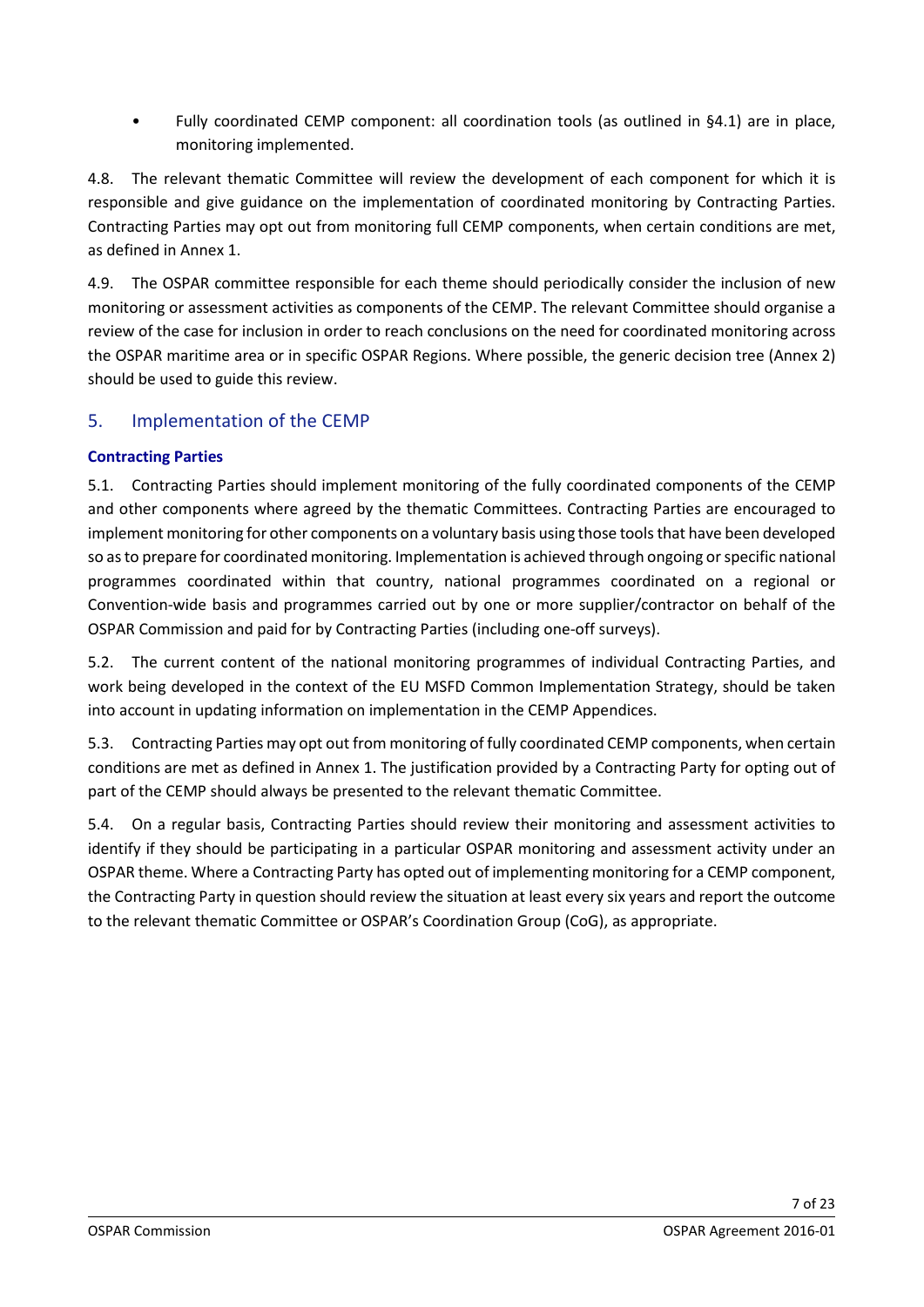• Fully coordinated CEMP component: all coordination tools (as outlined in §4.1) are in place, monitoring implemented.

4.8. The relevant thematic Committee will review the development of each component for which it is responsible and give guidance on the implementation of coordinated monitoring by Contracting Parties. Contracting Parties may opt out from monitoring full CEMP components, when certain conditions are met, as defined in Annex 1.

4.9. The OSPAR committee responsible for each theme should periodically consider the inclusion of new monitoring or assessment activities as components of the CEMP. The relevant Committee should organise a review of the case for inclusion in order to reach conclusions on the need for coordinated monitoring across the OSPAR maritime area or in specific OSPAR Regions. Where possible, the generic decision tree (Annex 2) should be used to guide this review.

## <span id="page-6-0"></span>5. Implementation of the CEMP

### <span id="page-6-1"></span>**Contracting Parties**

5.1. Contracting Parties should implement monitoring of the fully coordinated components of the CEMP and other components where agreed by the thematic Committees. Contracting Parties are encouraged to implement monitoring for other components on a voluntary basis using those tools that have been developed so as to prepare for coordinated monitoring. Implementation is achieved through ongoing or specific national programmes coordinated within that country, national programmes coordinated on a regional or Convention-wide basis and programmes carried out by one or more supplier/contractor on behalf of the OSPAR Commission and paid for by Contracting Parties (including one-off surveys).

5.2. The current content of the national monitoring programmes of individual Contracting Parties, and work being developed in the context of the EU MSFD Common Implementation Strategy, should be taken into account in updating information on implementation in the CEMP Appendices.

5.3. Contracting Parties may opt out from monitoring of fully coordinated CEMP components, when certain conditions are met as defined in Annex 1. The justification provided by a Contracting Party for opting out of part of the CEMP should always be presented to the relevant thematic Committee.

5.4. On a regular basis, Contracting Parties should review their monitoring and assessment activities to identify if they should be participating in a particular OSPAR monitoring and assessment activity under an OSPAR theme. Where a Contracting Party has opted out of implementing monitoring for a CEMP component, the Contracting Party in question should review the situation at least every six years and report the outcome to the relevant thematic Committee or OSPAR's Coordination Group (CoG), as appropriate.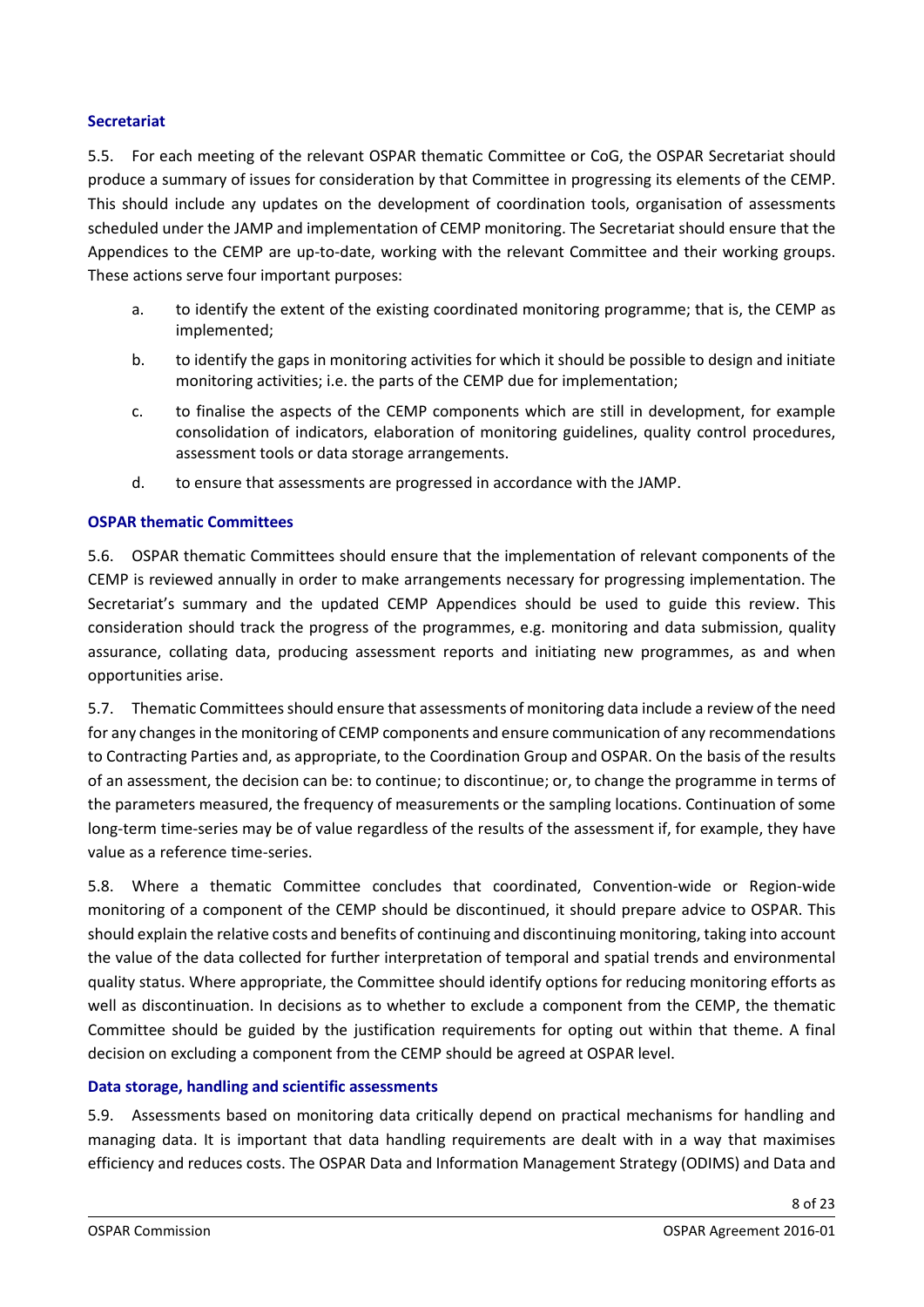#### **Secretariat**

5.5. For each meeting of the relevant OSPAR thematic Committee or CoG, the OSPAR Secretariat should produce a summary of issues for consideration by that Committee in progressing its elements of the CEMP. This should include any updates on the development of coordination tools, organisation of assessments scheduled under the JAMP and implementation of CEMP monitoring. The Secretariat should ensure that the Appendices to the CEMP are up-to-date, working with the relevant Committee and their working groups. These actions serve four important purposes:

- a. to identify the extent of the existing coordinated monitoring programme; that is, the CEMP as implemented;
- b. to identify the gaps in monitoring activities for which it should be possible to design and initiate monitoring activities; i.e. the parts of the CEMP due for implementation;
- c. to finalise the aspects of the CEMP components which are still in development, for example consolidation of indicators, elaboration of monitoring guidelines, quality control procedures, assessment tools or data storage arrangements.
- d. to ensure that assessments are progressed in accordance with the JAMP.

#### **OSPAR thematic Committees**

5.6. OSPAR thematic Committees should ensure that the implementation of relevant components of the CEMP is reviewed annually in order to make arrangements necessary for progressing implementation. The Secretariat's summary and the updated CEMP Appendices should be used to guide this review. This consideration should track the progress of the programmes, e.g. monitoring and data submission, quality assurance, collating data, producing assessment reports and initiating new programmes, as and when opportunities arise.

5.7. Thematic Committees should ensure that assessments of monitoring data include a review of the need for any changes in the monitoring of CEMP components and ensure communication of any recommendations to Contracting Parties and, as appropriate, to the Coordination Group and OSPAR. On the basis of the results of an assessment, the decision can be: to continue; to discontinue; or, to change the programme in terms of the parameters measured, the frequency of measurements or the sampling locations. Continuation of some long-term time-series may be of value regardless of the results of the assessment if, for example, they have value as a reference time-series.

5.8. Where a thematic Committee concludes that coordinated, Convention-wide or Region-wide monitoring of a component of the CEMP should be discontinued, it should prepare advice to OSPAR. This should explain the relative costs and benefits of continuing and discontinuing monitoring, taking into account the value of the data collected for further interpretation of temporal and spatial trends and environmental quality status. Where appropriate, the Committee should identify options for reducing monitoring efforts as well as discontinuation. In decisions as to whether to exclude a component from the CEMP, the thematic Committee should be guided by the justification requirements for opting out within that theme. A final decision on excluding a component from the CEMP should be agreed at OSPAR level.

#### <span id="page-7-0"></span>**Data storage, handling and scientific assessments**

5.9. Assessments based on monitoring data critically depend on practical mechanisms for handling and managing data. It is important that data handling requirements are dealt with in a way that maximises efficiency and reduces costs. The OSPAR Data and Information Management Strategy (ODIMS) and Data and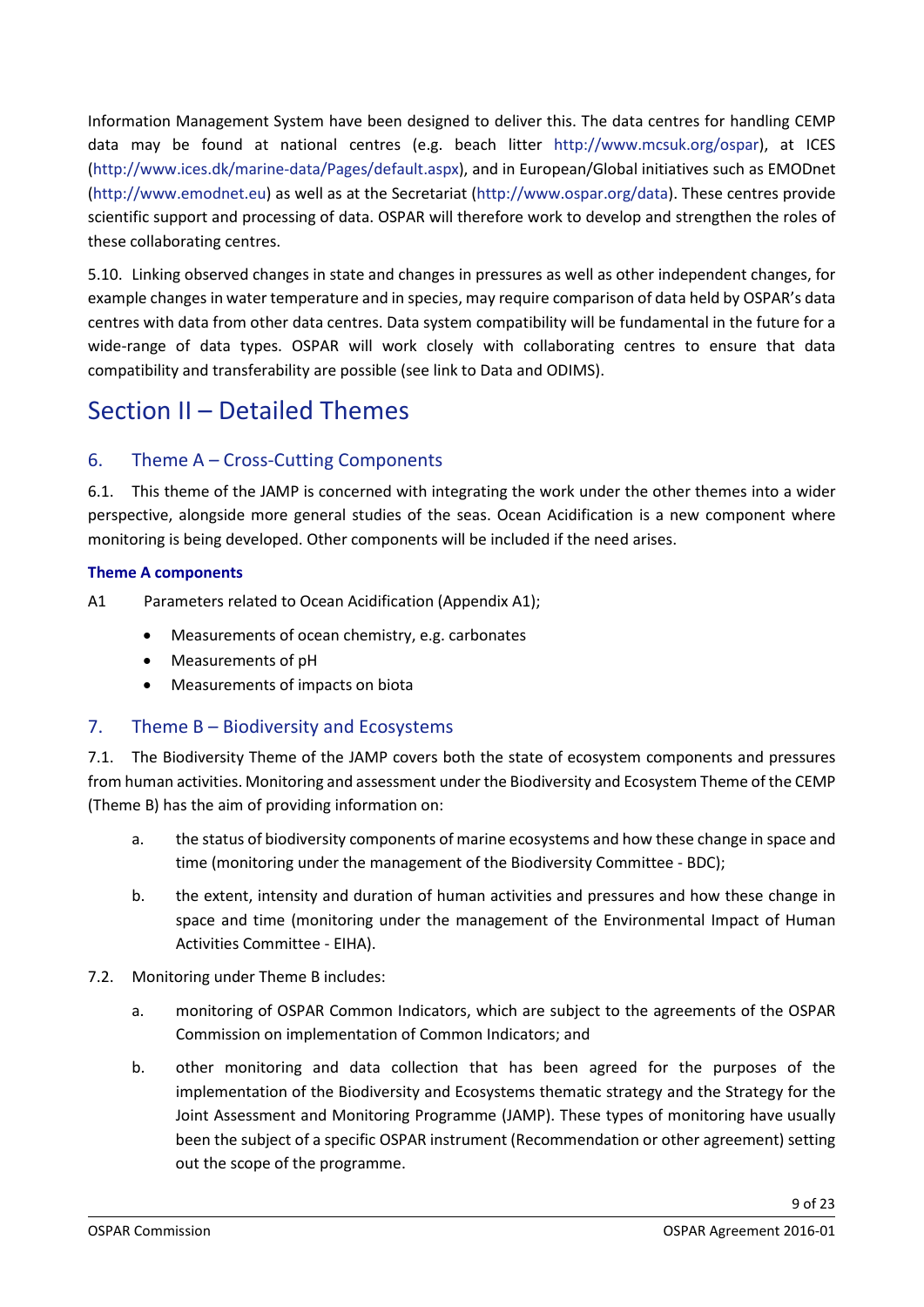Information Management System have been designed to deliver this. The data centres for handling CEMP data may be found at national centres (e.g. beach litter [http://www.mcsuk.org/ospar\)](http://www.mcsuk.org/ospar/), at ICES [\(http://www.ices.dk/marine-data/Pages/default.aspx\)](http://www.ices.dk/marine-data/Pages/default.aspx), and in European/Global initiatives such as EMODnet [\(http://www.emodnet.eu\)](http://www.emodnet.eu/) as well as at the Secretariat [\(http://www.ospar.org/data\)](http://www.ospar.org/data). These centres provide scientific support and processing of data. OSPAR will therefore work to develop and strengthen the roles of these collaborating centres.

5.10. Linking observed changes in state and changes in pressures as well as other independent changes, for example changes in water temperature and in species, may require comparison of data held by OSPAR's data centres with data from other data centres. Data system compatibility will be fundamental in the future for a wide-range of data types. OSPAR will work closely with collaborating centres to ensure that data compatibility and transferability are possible (see link to Data and ODIMS).

## <span id="page-8-0"></span>Section II – Detailed Themes

## <span id="page-8-1"></span>6. Theme A – Cross-Cutting Components

6.1. This theme of the JAMP is concerned with integrating the work under the other themes into a wider perspective, alongside more general studies of the seas. Ocean Acidification is a new component where monitoring is being developed. Other components will be included if the need arises.

#### <span id="page-8-2"></span>**Theme A components**

A1 Parameters related to Ocean Acidification (Appendix A1);

- Measurements of ocean chemistry, e.g. carbonates
- Measurements of pH
- Measurements of impacts on biota

## <span id="page-8-3"></span>7. Theme B – Biodiversity and Ecosystems

7.1. The Biodiversity Theme of the JAMP covers both the state of ecosystem components and pressures from human activities. Monitoring and assessment under the Biodiversity and Ecosystem Theme of the CEMP (Theme B) has the aim of providing information on:

- a. the status of biodiversity components of marine ecosystems and how these change in space and time (monitoring under the management of the Biodiversity Committee - BDC);
- b. the extent, intensity and duration of human activities and pressures and how these change in space and time (monitoring under the management of the Environmental Impact of Human Activities Committee - EIHA).
- 7.2. Monitoring under Theme B includes:
	- a. monitoring of OSPAR Common Indicators, which are subject to the agreements of the OSPAR Commission on implementation of Common Indicators; and
	- b. other monitoring and data collection that has been agreed for the purposes of the implementation of the Biodiversity and Ecosystems thematic strategy and the Strategy for the Joint Assessment and Monitoring Programme (JAMP). These types of monitoring have usually been the subject of a specific OSPAR instrument (Recommendation or other agreement) setting out the scope of the programme.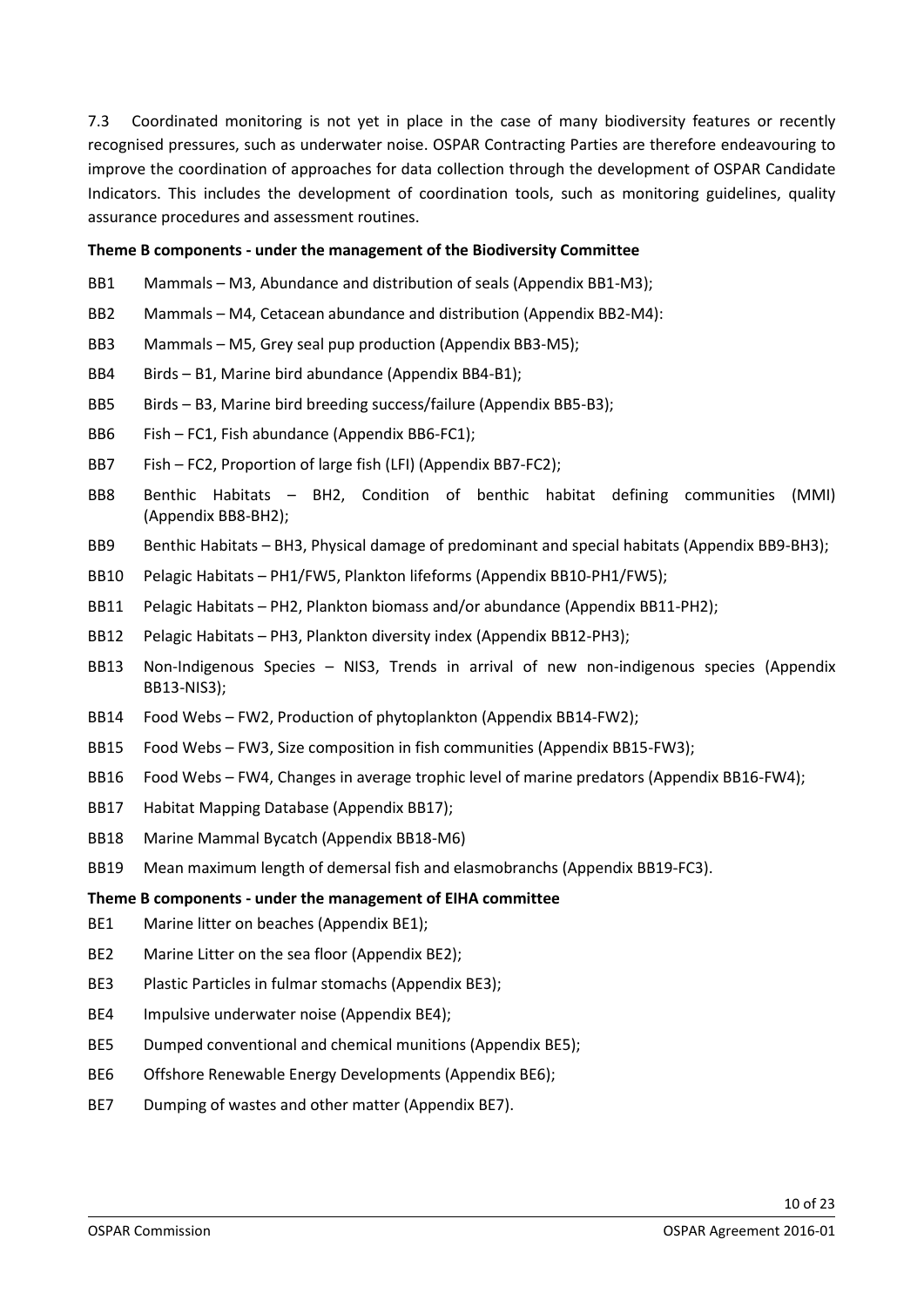7.3 Coordinated monitoring is not yet in place in the case of many biodiversity features or recently recognised pressures, such as underwater noise. OSPAR Contracting Parties are therefore endeavouring to improve the coordination of approaches for data collection through the development of OSPAR Candidate Indicators. This includes the development of coordination tools, such as monitoring guidelines, quality assurance procedures and assessment routines.

#### **Theme B components - under the management of the Biodiversity Committee**

- BB1 Mammals M3, Abundance and distribution of seals (Appendix BB1-M3);
- BB2 Mammals M4, Cetacean abundance and distribution (Appendix BB2-M4):
- BB3 Mammals M5, Grey seal pup production (Appendix BB3-M5);
- BB4 Birds B1, Marine bird abundance (Appendix BB4-B1);
- BB5 Birds B3, Marine bird breeding success/failure (Appendix BB5-B3);
- BB6 Fish FC1, Fish abundance (Appendix BB6-FC1);
- BB7 Fish FC2, Proportion of large fish (LFI) (Appendix BB7-FC2);
- BB8 Benthic Habitats BH2, Condition of benthic habitat defining communities (MMI) (Appendix BB8-BH2);
- BB9 Benthic Habitats BH3, Physical damage of predominant and special habitats (Appendix BB9-BH3);
- BB10 Pelagic Habitats PH1/FW5, Plankton lifeforms (Appendix BB10-PH1/FW5);
- BB11 Pelagic Habitats PH2, Plankton biomass and/or abundance (Appendix BB11-PH2);
- BB12 Pelagic Habitats PH3, Plankton diversity index (Appendix BB12-PH3);
- BB13 Non-Indigenous Species NIS3, Trends in arrival of new non-indigenous species (Appendix BB13-NIS3);
- BB14 Food Webs FW2, Production of phytoplankton (Appendix BB14-FW2);
- BB15 Food Webs FW3, Size composition in fish communities (Appendix BB15-FW3);
- BB16 Food Webs FW4, Changes in average trophic level of marine predators (Appendix BB16-FW4);
- BB17 Habitat Mapping Database (Appendix BB17);
- BB18 Marine Mammal Bycatch (Appendix BB18-M6)
- BB19 Mean maximum length of demersal fish and elasmobranchs (Appendix BB19-FC3).

#### <span id="page-9-0"></span>**Theme B components - under the management of EIHA committee**

- BE1 Marine litter on beaches (Appendix BE1);
- BE2 Marine Litter on the sea floor (Appendix BE2);
- BE3 Plastic Particles in fulmar stomachs (Appendix BE3);
- BE4 Impulsive underwater noise (Appendix BE4);
- BE5 Dumped conventional and chemical munitions (Appendix BE5);
- BE6 Offshore Renewable Energy Developments (Appendix BE6);
- BE7 Dumping of wastes and other matter (Appendix BE7).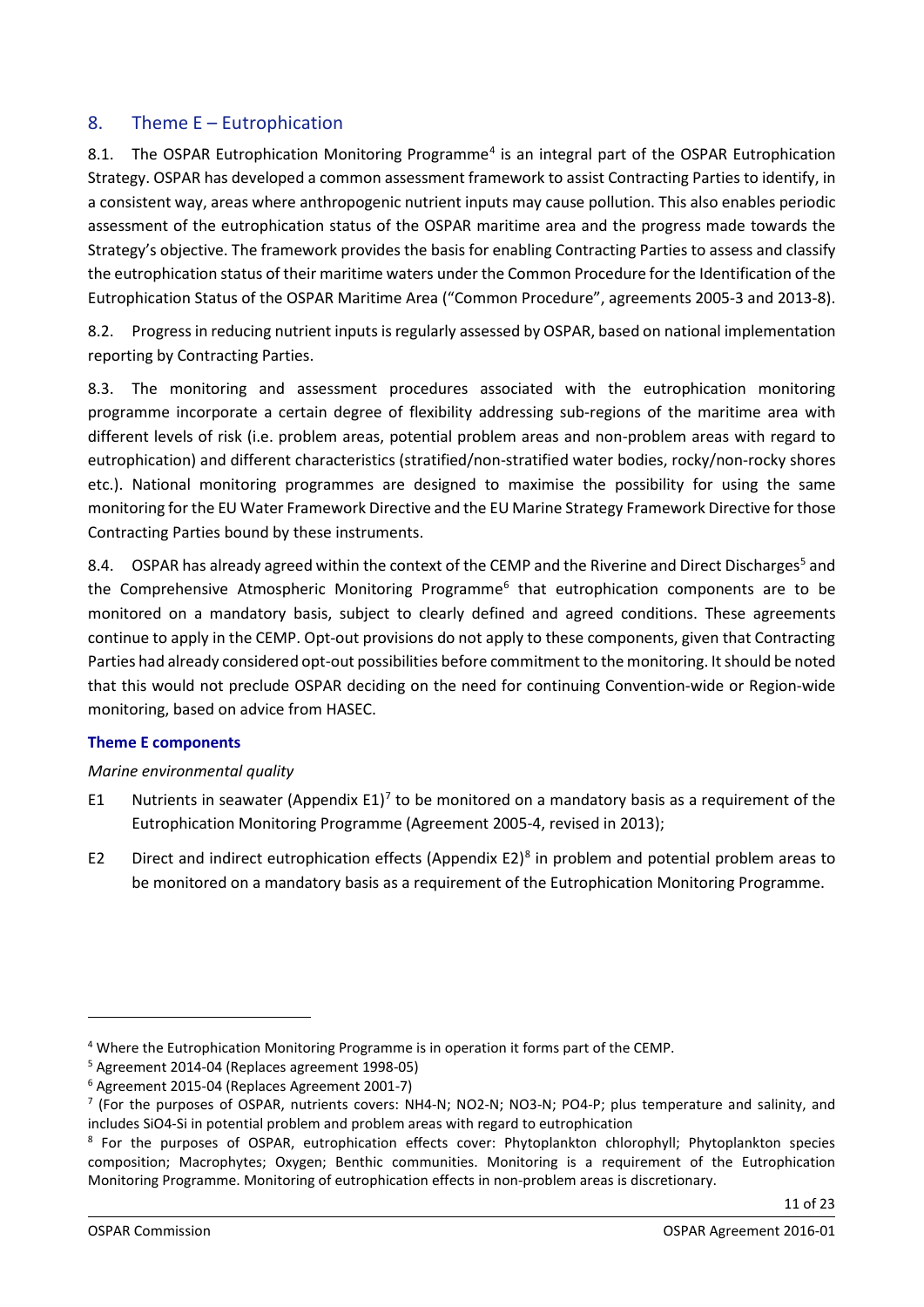## <span id="page-10-0"></span>8. Theme E – Eutrophication

8.1. The OSPAR Eutrophication Monitoring Programme<sup>[4](#page-10-2)</sup> is an integral part of the OSPAR Eutrophication Strategy. OSPAR has developed a common assessment framework to assist Contracting Parties to identify, in a consistent way, areas where anthropogenic nutrient inputs may cause pollution. This also enables periodic assessment of the eutrophication status of the OSPAR maritime area and the progress made towards the Strategy's objective. The framework provides the basis for enabling Contracting Parties to assess and classify the eutrophication status of their maritime waters under the Common Procedure for the Identification of the Eutrophication Status of the OSPAR Maritime Area ("Common Procedure", agreements 2005-3 and 2013-8).

8.2. Progress in reducing nutrient inputs is regularly assessed by OSPAR, based on national [implementation](http://www.ospar.org/content/content.asp?menu=00270303040000_000000_000000)  [reporting](http://www.ospar.org/content/content.asp?menu=00270303040000_000000_000000) by Contracting Parties.

8.3. The monitoring and assessment procedures associated with the eutrophication monitoring programme incorporate a certain degree of flexibility addressing sub-regions of the maritime area with different levels of risk (i.e. problem areas, potential problem areas and non-problem areas with regard to eutrophication) and different characteristics (stratified/non-stratified water bodies, rocky/non-rocky shores etc.). National monitoring programmes are designed to maximise the possibility for using the same monitoring for the EU Water Framework Directive and the EU Marine Strategy Framework Directive for those Contracting Parties bound by these instruments.

8.4. OSPAR has already agreed within the context of the CEMP and the Riverine and Direct Discharges<sup>[5](#page-10-3)</sup> and the Comprehensive Atmospheric Monitoring Programme<sup>[6](#page-10-4)</sup> that eutrophication components are to be monitored on a mandatory basis, subject to clearly defined and agreed conditions. These agreements continue to apply in the CEMP. Opt-out provisions do not apply to these components, given that Contracting Parties had already considered opt-out possibilities before commitment to the monitoring. It should be noted that this would not preclude OSPAR deciding on the need for continuing Convention-wide or Region-wide monitoring, based on advice from HASEC.

#### <span id="page-10-1"></span>**Theme E components**

#### *Marine environmental quality*

- E1 Nutrients in seawater (Appendix E1)<sup>[7](#page-10-5)</sup> to be monitored on a mandatory basis as a requirement of the Eutrophication Monitoring Programme (Agreement 2005-4, revised in 2013);
- E2 Direct and indirect eutrophication effects (Appendix E2)<sup>8</sup> in problem and potential problem areas to be monitored on a mandatory basis as a requirement of the Eutrophication Monitoring Programme.

<span id="page-10-2"></span><sup>4</sup> Where the Eutrophication Monitoring Programme is in operation it forms part of the CEMP.

<span id="page-10-3"></span><sup>5</sup> Agreement 2014-04 (Replaces agreement 1998-05)

<span id="page-10-4"></span><sup>6</sup> Agreement 2015-04 (Replaces Agreement 2001-7)

<span id="page-10-5"></span><sup>7</sup> (For the purposes of OSPAR, nutrients covers: NH4-N; NO2-N; NO3-N; PO4-P; plus temperature and salinity, and includes SiO4-Si in potential problem and problem areas with regard to eutrophication

<span id="page-10-6"></span><sup>&</sup>lt;sup>8</sup> For the purposes of OSPAR, eutrophication effects cover: Phytoplankton chlorophyll; Phytoplankton species composition; Macrophytes; Oxygen; Benthic communities. Monitoring is a requirement of the Eutrophication Monitoring Programme. Monitoring of eutrophication effects in non-problem areas is discretionary.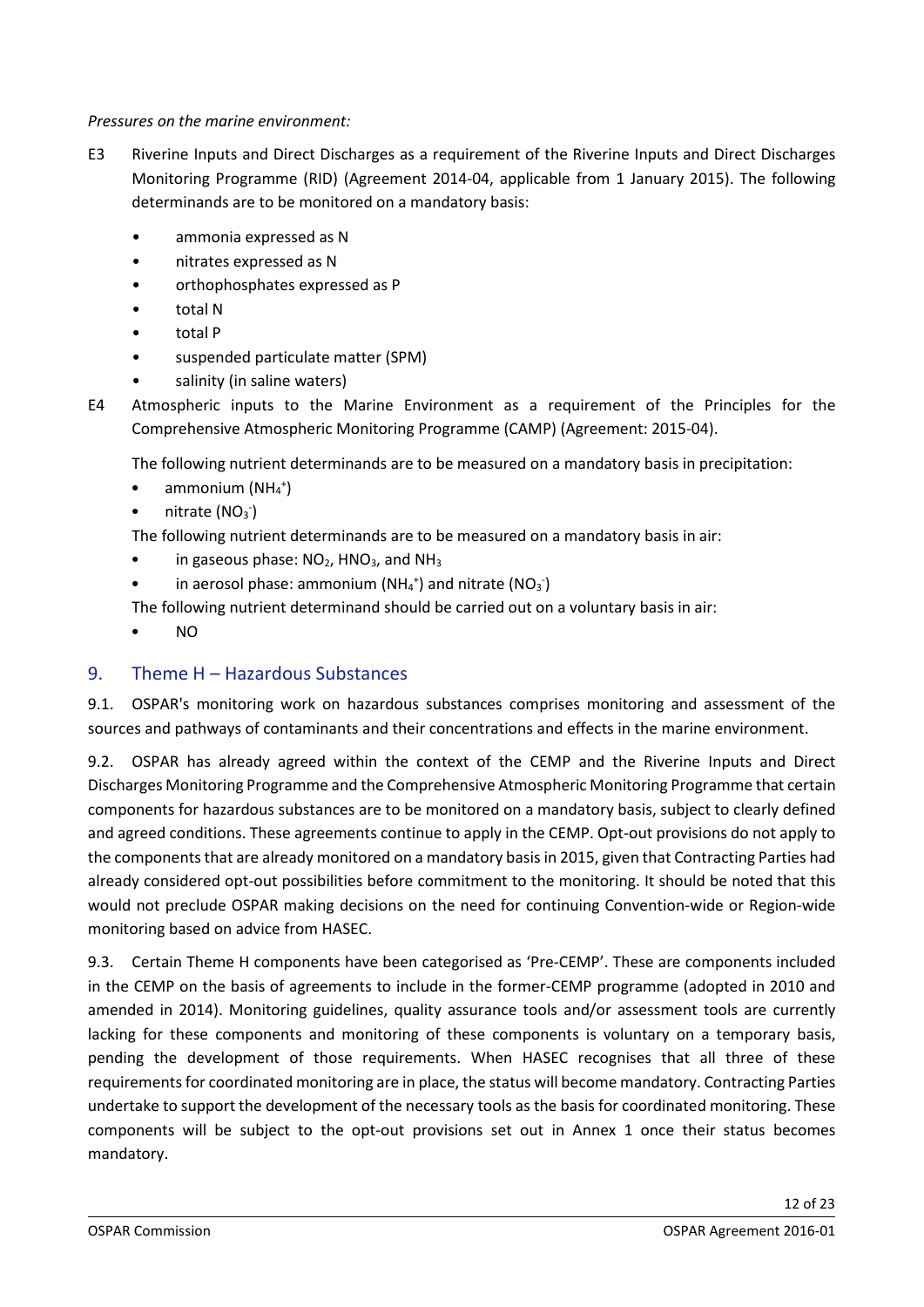#### *Pressures on the marine environment:*

- E3 Riverine Inputs and Direct Discharges as a requirement of the Riverine Inputs and Direct Discharges Monitoring Programme (RID) (Agreement 2014-04, applicable from 1 January 2015). The following determinands are to be monitored on a mandatory basis:
	- ammonia expressed as N
	- nitrates expressed as N
	- orthophosphates expressed as P
	- total N
	- total P
	- suspended particulate matter (SPM)
	- salinity (in saline waters)

E4 Atmospheric inputs to the Marine Environment as a requirement of the Principles for the Comprehensive Atmospheric Monitoring Programme (CAMP) (Agreement: 2015-04).

The following nutrient determinands are to be measured on a mandatory basis in precipitation:

- $\bullet$  ammonium (NH<sub>4</sub><sup>+</sup>)
- $\bullet$  nitrate (NO<sub>3</sub><sup>-</sup>)

The following nutrient determinands are to be measured on a mandatory basis in air:

- in gaseous phase:  $NO<sub>2</sub>$ , HNO<sub>3</sub>, and NH<sub>3</sub>
- in aerosol phase: ammonium  $(NH<sub>4</sub><sup>+</sup>)$  and nitrate  $(NO<sub>3</sub>)$

The following nutrient determinand should be carried out on a voluntary basis in air:

• NO

### <span id="page-11-0"></span>9. Theme H – Hazardous Substances

9.1. OSPAR's monitoring work on hazardous substances comprises monitoring and assessment of the sources and pathways of contaminants and their concentrations and effects in the marine environment.

9.2. OSPAR has already agreed within the context of the CEMP and the Riverine Inputs and Direct Discharges Monitoring Programme and the Comprehensive Atmospheric Monitoring Programme that certain components for hazardous substances are to be monitored on a mandatory basis, subject to clearly defined and agreed conditions. These agreements continue to apply in the CEMP. Opt-out provisions do not apply to the components that are already monitored on a mandatory basis in 2015, given that Contracting Parties had already considered opt-out possibilities before commitment to the monitoring. It should be noted that this would not preclude OSPAR making decisions on the need for continuing Convention-wide or Region-wide monitoring based on advice from HASEC.

9.3. Certain Theme H components have been categorised as 'Pre-CEMP'. These are components included in the CEMP on the basis of agreements to include in the former-CEMP programme (adopted in 2010 and amended in 2014). Monitoring guidelines, quality assurance tools and/or assessment tools are currently lacking for these components and monitoring of these components is voluntary on a temporary basis, pending the development of those requirements. When HASEC recognises that all three of these requirements for coordinated monitoring are in place, the status will become mandatory. Contracting Parties undertake to support the development of the necessary tools as the basis for coordinated monitoring. These components will be subject to the opt-out provisions set out in Annex 1 once their status becomes mandatory.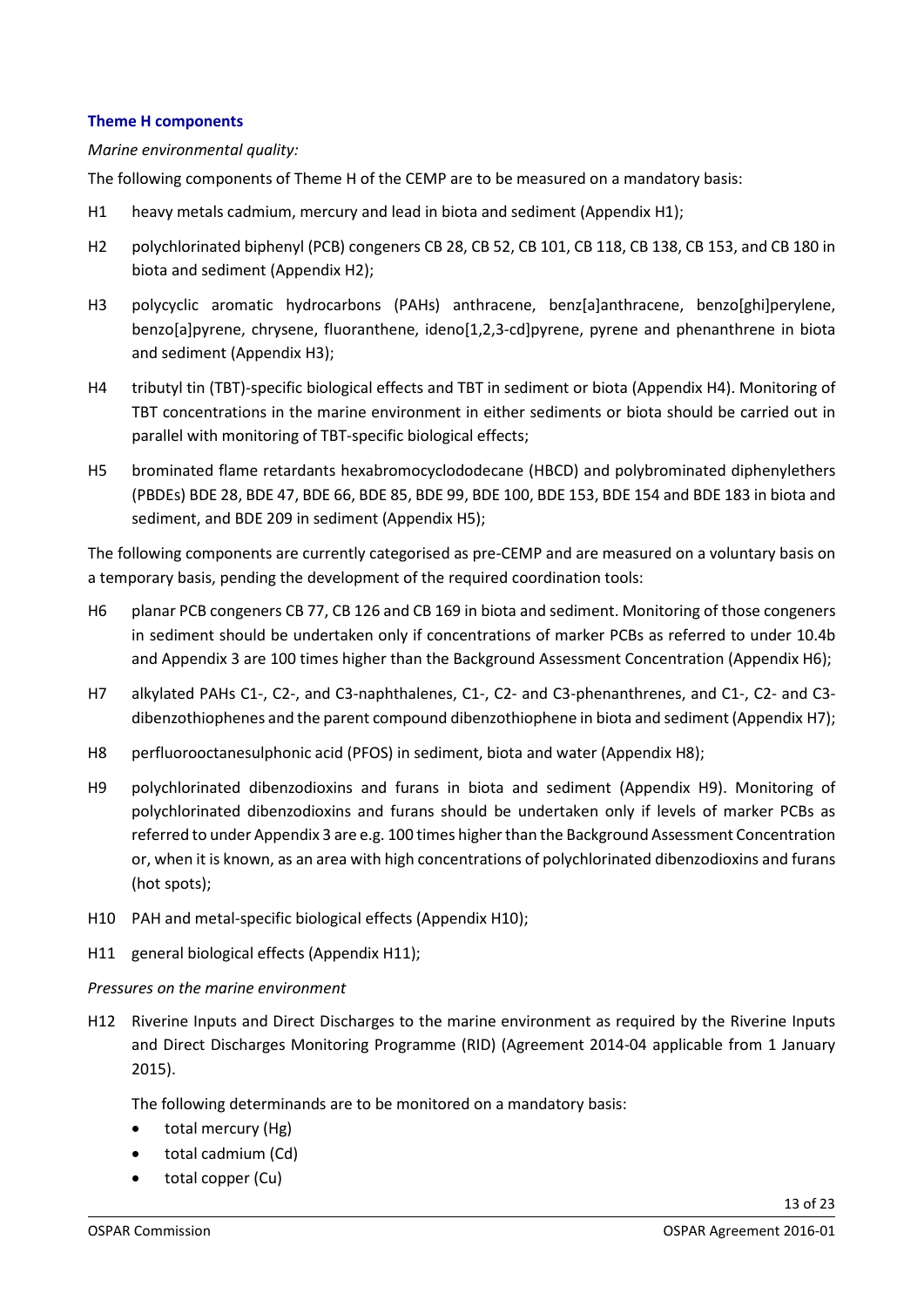#### <span id="page-12-0"></span>**Theme H components**

#### *Marine environmental quality:*

The following components of Theme H of the CEMP are to be measured on a mandatory basis:

- H1 heavy metals cadmium, mercury and lead in biota and sediment (Appendix H1);
- H2 polychlorinated biphenyl (PCB) congeners CB 28, CB 52, CB 101, CB 118, CB 138, CB 153, and CB 180 in biota and sediment (Appendix H2);
- H3 polycyclic aromatic hydrocarbons (PAHs) anthracene, benz[a]anthracene, benzo[ghi]perylene, benzo[a]pyrene, chrysene, fluoranthene, ideno[1,2,3-cd]pyrene, pyrene and phenanthrene in biota and sediment (Appendix H3);
- H4 tributyl tin (TBT)-specific biological effects and TBT in sediment or biota (Appendix H4). Monitoring of TBT concentrations in the marine environment in either sediments or biota should be carried out in parallel with monitoring of TBT-specific biological effects;
- H5 brominated flame retardants hexabromocyclododecane (HBCD) and polybrominated diphenylethers (PBDEs) BDE 28, BDE 47, BDE 66, BDE 85, BDE 99, BDE 100, BDE 153, BDE 154 and BDE 183 in biota and sediment, and BDE 209 in sediment (Appendix H5);

The following components are currently categorised as pre-CEMP and are measured on a voluntary basis on a temporary basis, pending the development of the required coordination tools:

- H6 planar PCB congeners CB 77, CB 126 and CB 169 in biota and sediment. Monitoring of those congeners in sediment should be undertaken only if concentrations of marker PCBs as referred to under 10.4b and Appendix 3 are 100 times higher than the Background Assessment Concentration (Appendix H6);
- H7 alkylated PAHs C1-, C2-, and C3-naphthalenes, C1-, C2- and C3-phenanthrenes, and C1-, C2- and C3 dibenzothiophenes and the parent compound dibenzothiophene in biota and sediment (Appendix H7);
- H8 perfluorooctanesulphonic acid (PFOS) in sediment, biota and water (Appendix H8);
- H9 polychlorinated dibenzodioxins and furans in biota and sediment (Appendix H9). Monitoring of polychlorinated dibenzodioxins and furans should be undertaken only if levels of marker PCBs as referred to under Appendix 3 are e.g. 100 times higher than the Background Assessment Concentration or, when it is known, as an area with high concentrations of polychlorinated dibenzodioxins and furans (hot spots);
- H10 PAH and metal-specific biological effects (Appendix H10);
- H11 general biological effects (Appendix H11);

#### *Pressures on the marine environment*

H12 Riverine Inputs and Direct Discharges to the marine environment as required by the Riverine Inputs and Direct Discharges Monitoring Programme (RID) (Agreement 2014-04 applicable from 1 January 2015).

The following determinands are to be monitored on a mandatory basis:

- total mercury (Hg)
- total cadmium (Cd)
- total copper (Cu)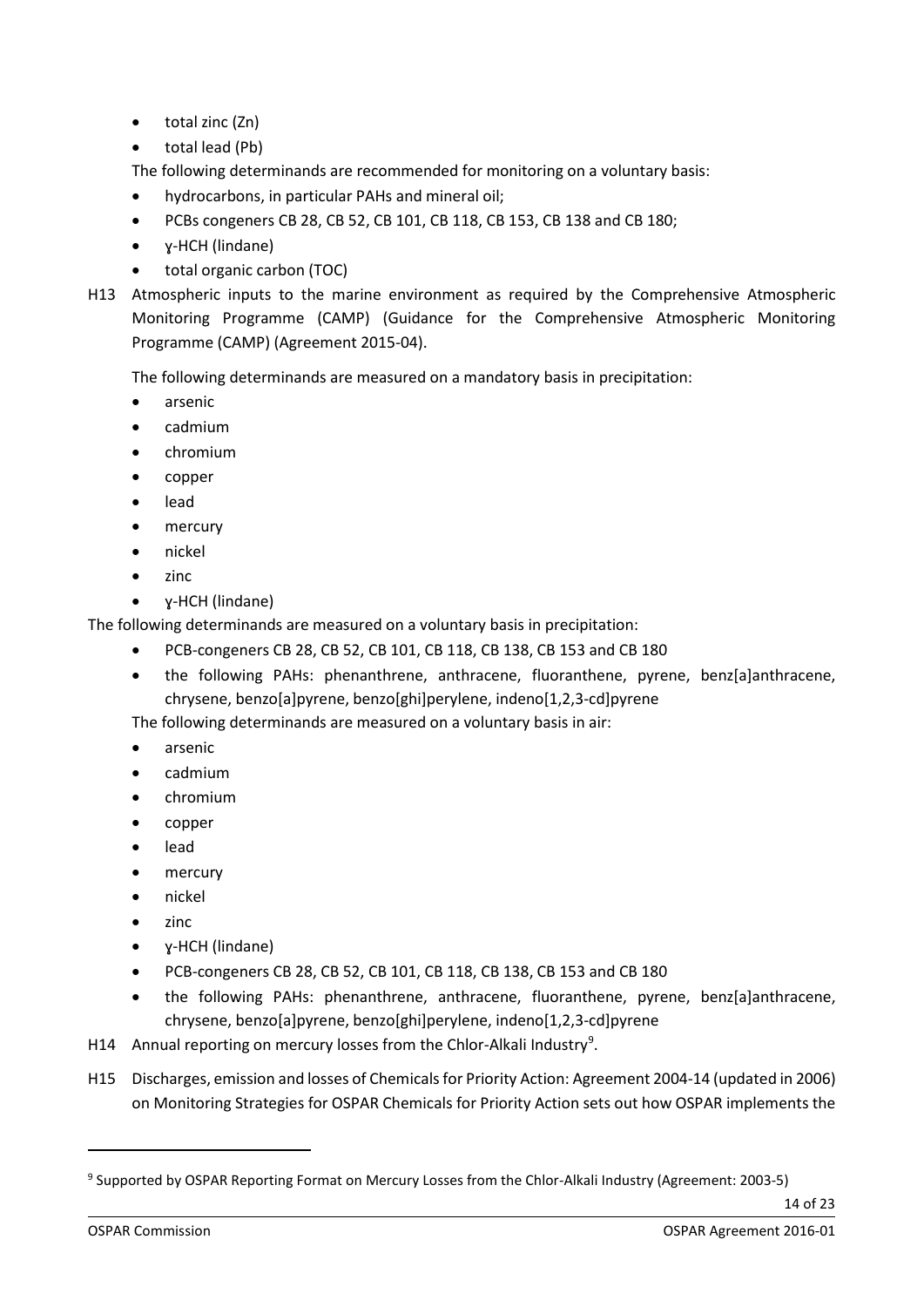- total zinc (Zn)
- total lead (Pb)

The following determinands are recommended for monitoring on a voluntary basis:

- hydrocarbons, in particular PAHs and mineral oil;
- PCBs congeners CB 28, CB 52, CB 101, CB 118, CB 153, CB 138 and CB 180;
- ɣ-HCH (lindane)
- total organic carbon (TOC)
- H13 Atmospheric inputs to the marine environment as required by the Comprehensive Atmospheric Monitoring Programme (CAMP) (Guidance for the Comprehensive Atmospheric Monitoring Programme (CAMP) (Agreement 2015-04).

The following determinands are measured on a mandatory basis in precipitation:

- arsenic
- cadmium
- chromium
- copper
- lead
- mercury
- nickel
- zinc
- ɣ-HCH (lindane)

The following determinands are measured on a voluntary basis in precipitation:

- PCB-congeners CB 28, CB 52, CB 101, CB 118, CB 138, CB 153 and CB 180
- the following PAHs: phenanthrene, anthracene, fluoranthene, pyrene, benz[a]anthracene, chrysene, benzo[a]pyrene, benzo[ghi]perylene, indeno[1,2,3-cd]pyrene

The following determinands are measured on a voluntary basis in air:

- arsenic
- cadmium
- chromium
- copper
- lead
- mercury
- nickel
- zinc
- ɣ-HCH (lindane)
- PCB-congeners CB 28, CB 52, CB 101, CB 118, CB 138, CB 153 and CB 180
- the following PAHs: phenanthrene, anthracene, fluoranthene, pyrene, benz[a]anthracene, chrysene, benzo[a]pyrene, benzo[ghi]perylene, indeno[1,2,3-cd]pyrene
- H14 Annual reporting on mercury losses from the Chlor-Alkali Industry<sup>[9](#page-13-0)</sup>.
- H15 Discharges, emission and losses of Chemicals for Priority Action: Agreement 2004-14 (updated in 2006) on Monitoring Strategies for OSPAR Chemicals for Priority Action sets out how OSPAR implements the

<span id="page-13-0"></span><sup>9</sup> Supported by OSPAR Reporting Format on Mercury Losses from the Chlor-Alkali Industry (Agreement: 2003-5)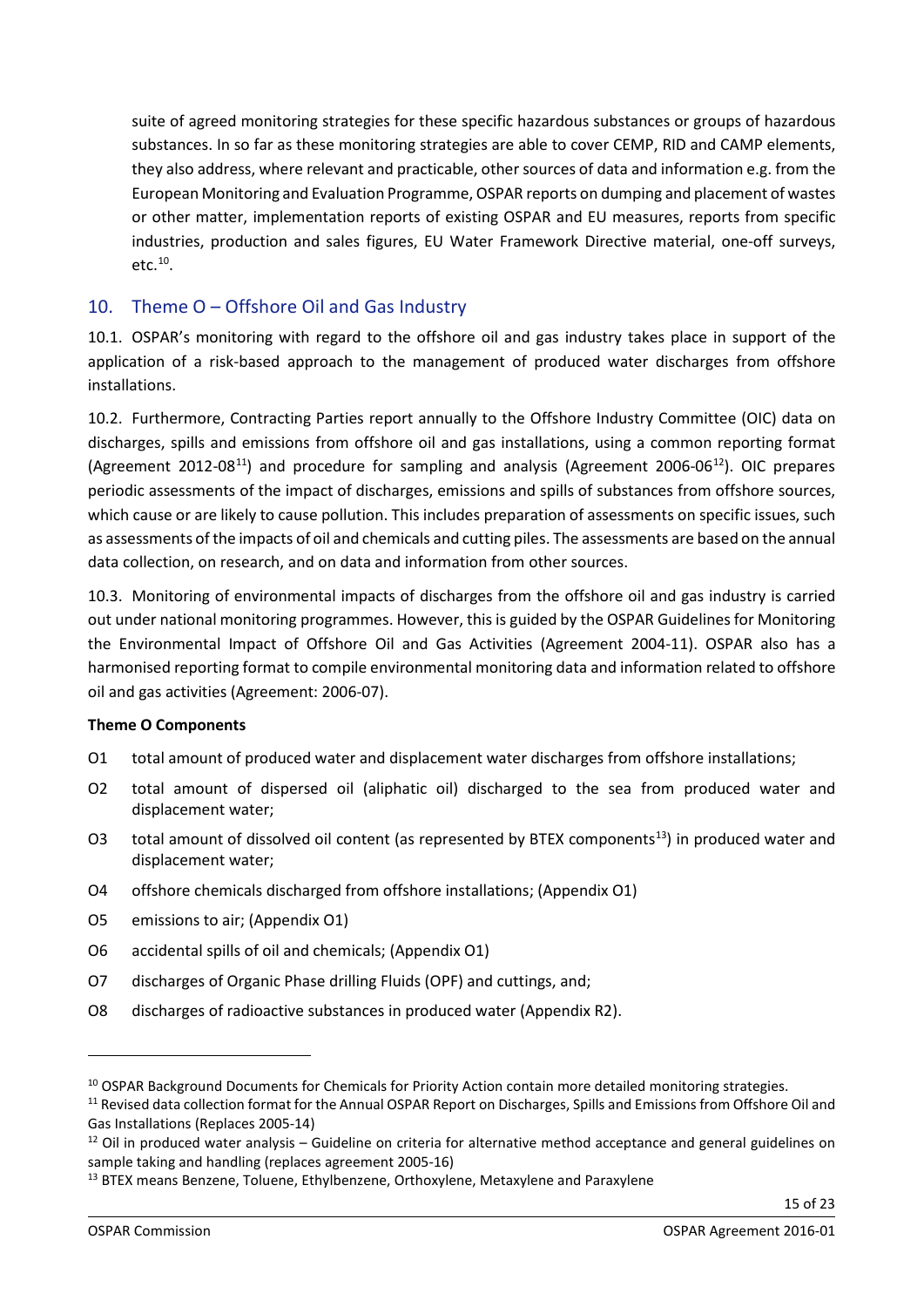suite of agreed monitoring strategies for these specific hazardous substances or groups of hazardous substances. In so far as these monitoring strategies are able to cover CEMP, RID and CAMP elements, they also address, where relevant and practicable, other sources of data and information e.g. from the European Monitoring and Evaluation Programme, OSPAR reports on dumping and placement of wastes or other matter, implementation reports of existing OSPAR and EU measures, reports from specific industries, production and sales figures, EU Water Framework Directive material, one-off surveys, etc. [10.](#page-14-1)

## <span id="page-14-0"></span>10. Theme O – Offshore Oil and Gas Industry

10.1. OSPAR's monitoring with regard to the offshore oil and gas industry takes place in support of the application of a risk-based approach to the management of produced water discharges from offshore installations.

10.2. Furthermore, Contracting Parties report annually to the Offshore Industry Committee (OIC) data on discharges, spills and emissions from offshore oil and gas installations, using a common reporting format (Agreement 2012-08<sup>[11](#page-14-2)</sup>) and procedure for sampling and analysis (Agreement 2006-06<sup>12</sup>). OIC prepares periodic assessments of the impact of discharges, emissions and spills of substances from offshore sources, which cause or are likely to cause pollution. This includes preparation of assessments on specific issues, such as assessments of the impacts of oil and chemicals and cutting piles. The assessments are based on the annual data collection, on research, and on data and information from other sources.

10.3. Monitoring of environmental impacts of discharges from the offshore oil and gas industry is carried out under national monitoring programmes. However, this is guided by the OSPAR Guidelines for Monitoring the Environmental Impact of Offshore Oil and Gas Activities (Agreement 2004-11). OSPAR also has a harmonised reporting format to compile environmental monitoring data and information related to offshore oil and gas activities (Agreement: 2006-07).

#### **Theme O Components**

- O1 total amount of produced water and displacement water discharges from offshore installations;
- O2 total amount of dispersed oil (aliphatic oil) discharged to the sea from produced water and displacement water;
- O3 total amount of dissolved oil content (as represented by BTEX components<sup>13</sup>) in produced water and displacement water;
- O4 offshore chemicals discharged from offshore installations; (Appendix O1)
- O5 emissions to air; (Appendix O1)
- O6 accidental spills of oil and chemicals; (Appendix O1)
- O7 discharges of Organic Phase drilling Fluids (OPF) and cuttings, and;
- O8 discharges of radioactive substances in produced water (Appendix R2).

<span id="page-14-1"></span><sup>&</sup>lt;sup>10</sup> OSPAR Background Documents for Chemicals for Priority Action contain more detailed monitoring strategies.

<span id="page-14-2"></span><sup>&</sup>lt;sup>11</sup> Revised data collection format for the Annual OSPAR Report on Discharges, Spills and Emissions from Offshore Oil and Gas Installations (Replaces 2005-14)

<span id="page-14-3"></span> $12$  Oil in produced water analysis – Guideline on criteria for alternative method acceptance and general guidelines on sample taking and handling (replaces agreement 2005-16)

<span id="page-14-4"></span><sup>&</sup>lt;sup>13</sup> BTEX means Benzene, Toluene, Ethylbenzene, Orthoxylene, Metaxylene and Paraxylene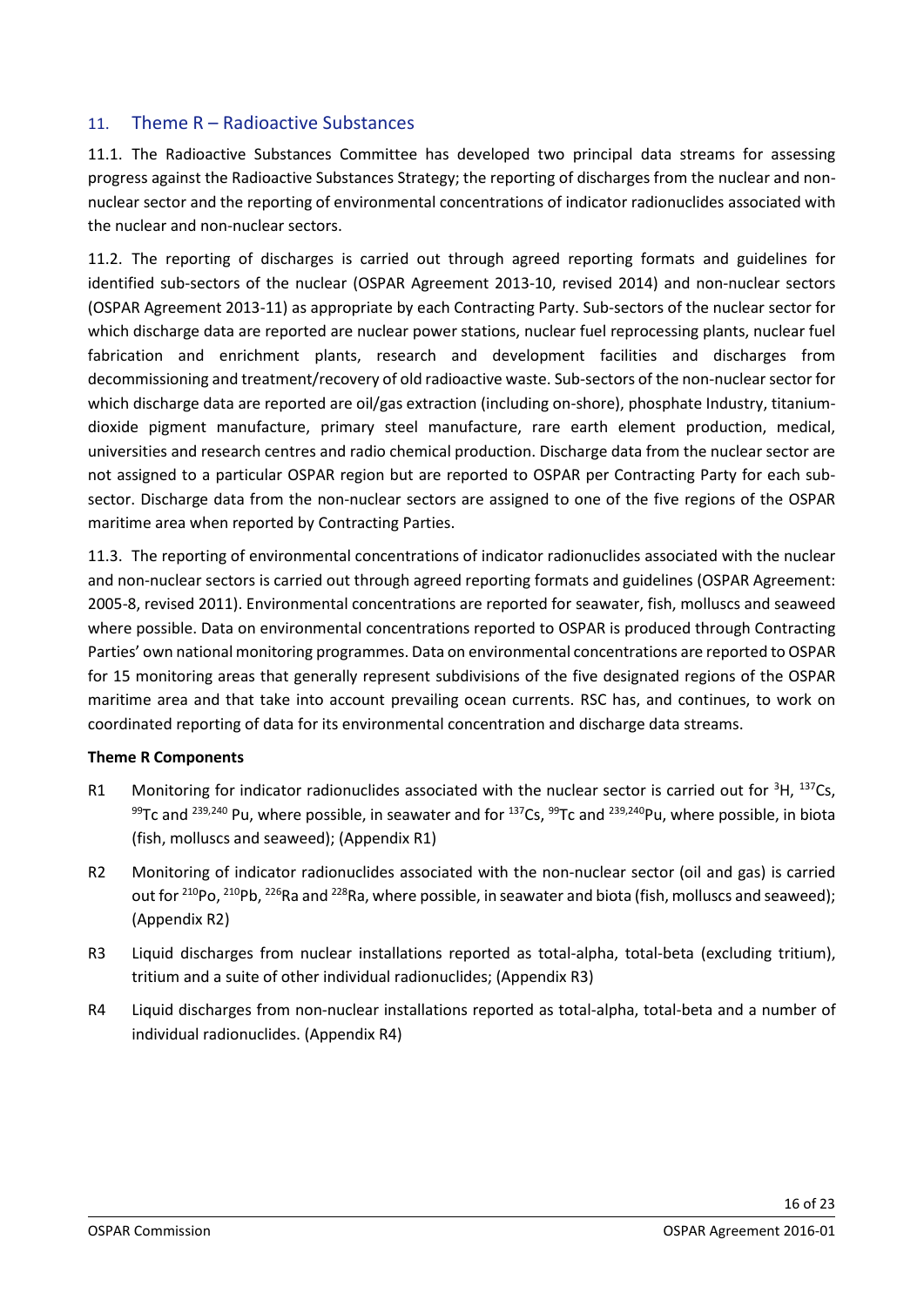### <span id="page-15-0"></span>11. Theme R – Radioactive Substances

11.1. The Radioactive Substances Committee has developed two principal data streams for assessing progress against the Radioactive Substances Strategy; the reporting of discharges from the nuclear and nonnuclear sector and the reporting of environmental concentrations of indicator radionuclides associated with the nuclear and non-nuclear sectors.

11.2. The reporting of discharges is carried out through agreed reporting formats and guidelines for identified sub-sectors of the nuclear (OSPAR Agreement 2013-10, revised 2014) and non-nuclear sectors (OSPAR Agreement 2013-11) as appropriate by each Contracting Party. Sub-sectors of the nuclear sector for which discharge data are reported are nuclear power stations, nuclear fuel reprocessing plants, nuclear fuel fabrication and enrichment plants, research and development facilities and discharges from decommissioning and treatment/recovery of old radioactive waste. Sub-sectors of the non-nuclear sector for which discharge data are reported are oil/gas extraction (including on-shore), phosphate Industry, titaniumdioxide pigment manufacture, primary steel manufacture, rare earth element production, medical, universities and research centres and radio chemical production. Discharge data from the nuclear sector are not assigned to a particular OSPAR region but are reported to OSPAR per Contracting Party for each subsector. Discharge data from the non-nuclear sectors are assigned to one of the five regions of the OSPAR maritime area when reported by Contracting Parties.

11.3. The reporting of environmental concentrations of indicator radionuclides associated with the nuclear and non-nuclear sectors is carried out through agreed reporting formats and guidelines (OSPAR Agreement: 2005-8, revised 2011). Environmental concentrations are reported for seawater, fish, molluscs and seaweed where possible. Data on environmental concentrations reported to OSPAR is produced through Contracting Parties' own national monitoring programmes. Data on environmental concentrations are reported to OSPAR for 15 monitoring areas that generally represent subdivisions of the five designated regions of the OSPAR maritime area and that take into account prevailing ocean currents. RSC has, and continues, to work on coordinated reporting of data for its environmental concentration and discharge data streams.

#### **Theme R Components**

- R1 Monitoring for indicator radionuclides associated with the nuclear sector is carried out for  ${}^{3}H$ ,  ${}^{137}Cs$ , 99Tc and <sup>239,240</sup> Pu, where possible, in seawater and for <sup>137</sup>Cs, <sup>99</sup>Tc and <sup>239,240</sup>Pu, where possible, in biota (fish, molluscs and seaweed); (Appendix R1)
- R2 Monitoring of indicator radionuclides associated with the non-nuclear sector (oil and gas) is carried out for <sup>210</sup>Po, <sup>210</sup>Pb, <sup>226</sup>Ra and <sup>228</sup>Ra, where possible, in seawater and biota (fish, molluscs and seaweed); (Appendix R2)
- R3 Liquid discharges from nuclear installations reported as total-alpha, total-beta (excluding tritium), tritium and a suite of other individual radionuclides; (Appendix R3)
- R4 Liquid discharges from non-nuclear installations reported as total-alpha, total-beta and a number of individual radionuclides. (Appendix R4)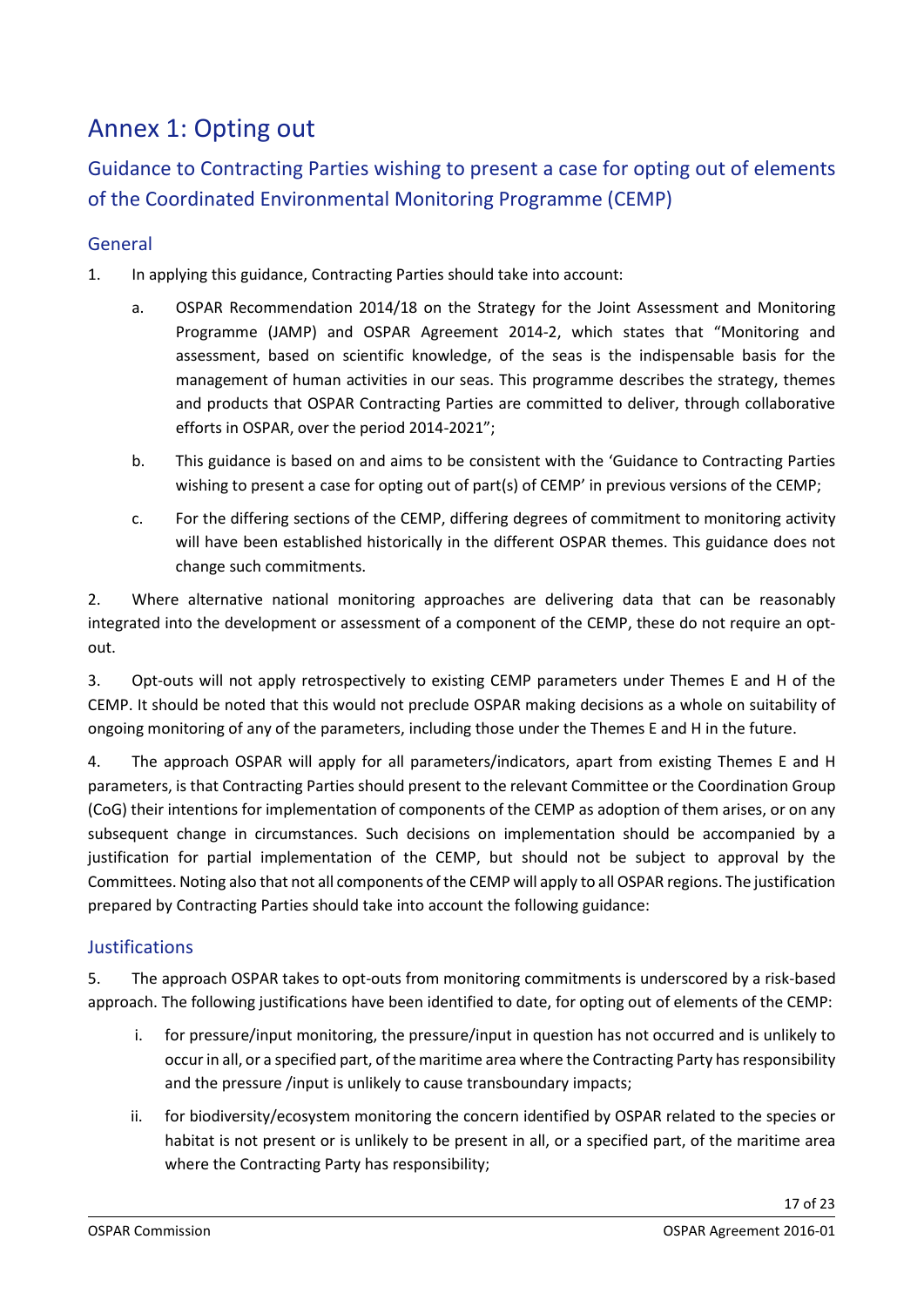## <span id="page-16-0"></span>Annex 1: Opting out

Guidance to Contracting Parties wishing to present a case for opting out of elements of the Coordinated Environmental Monitoring Programme (CEMP)

## <span id="page-16-1"></span>General

- 1. In applying this guidance, Contracting Parties should take into account:
	- a. OSPAR Recommendation 2014/18 on the Strategy for the Joint Assessment and Monitoring Programme (JAMP) and OSPAR Agreement 2014-2, which states that "Monitoring and assessment, based on scientific knowledge, of the seas is the indispensable basis for the management of human activities in our seas. This programme describes the strategy, themes and products that OSPAR Contracting Parties are committed to deliver, through collaborative efforts in OSPAR, over the period 2014-2021";
	- b. This guidance is based on and aims to be consistent with the 'Guidance to Contracting Parties wishing to present a case for opting out of part(s) of CEMP' in previous versions of the CEMP;
	- c. For the differing sections of the CEMP, differing degrees of commitment to monitoring activity will have been established historically in the different OSPAR themes. This guidance does not change such commitments.

2. Where alternative national monitoring approaches are delivering data that can be reasonably integrated into the development or assessment of a component of the CEMP, these do not require an optout.

3. Opt-outs will not apply retrospectively to existing CEMP parameters under Themes E and H of the CEMP. It should be noted that this would not preclude OSPAR making decisions as a whole on suitability of ongoing monitoring of any of the parameters, including those under the Themes E and H in the future.

4. The approach OSPAR will apply for all parameters/indicators, apart from existing Themes E and H parameters, is that Contracting Parties should present to the relevant Committee or the Coordination Group (CoG) their intentions for implementation of components of the CEMP as adoption of them arises, or on any subsequent change in circumstances. Such decisions on implementation should be accompanied by a justification for partial implementation of the CEMP, but should not be subject to approval by the Committees. Noting also that not all components of the CEMP will apply to all OSPAR regions. The justification prepared by Contracting Parties should take into account the following guidance:

## <span id="page-16-2"></span>**Justifications**

5. The approach OSPAR takes to opt-outs from monitoring commitments is underscored by a risk-based approach. The following justifications have been identified to date, for opting out of elements of the CEMP:

- i. for pressure/input monitoring, the pressure/input in question has not occurred and is unlikely to occur in all, or a specified part, of the maritime area where the Contracting Party has responsibility and the pressure /input is unlikely to cause transboundary impacts;
- ii. for biodiversity/ecosystem monitoring the concern identified by OSPAR related to the species or habitat is not present or is unlikely to be present in all, or a specified part, of the maritime area where the Contracting Party has responsibility;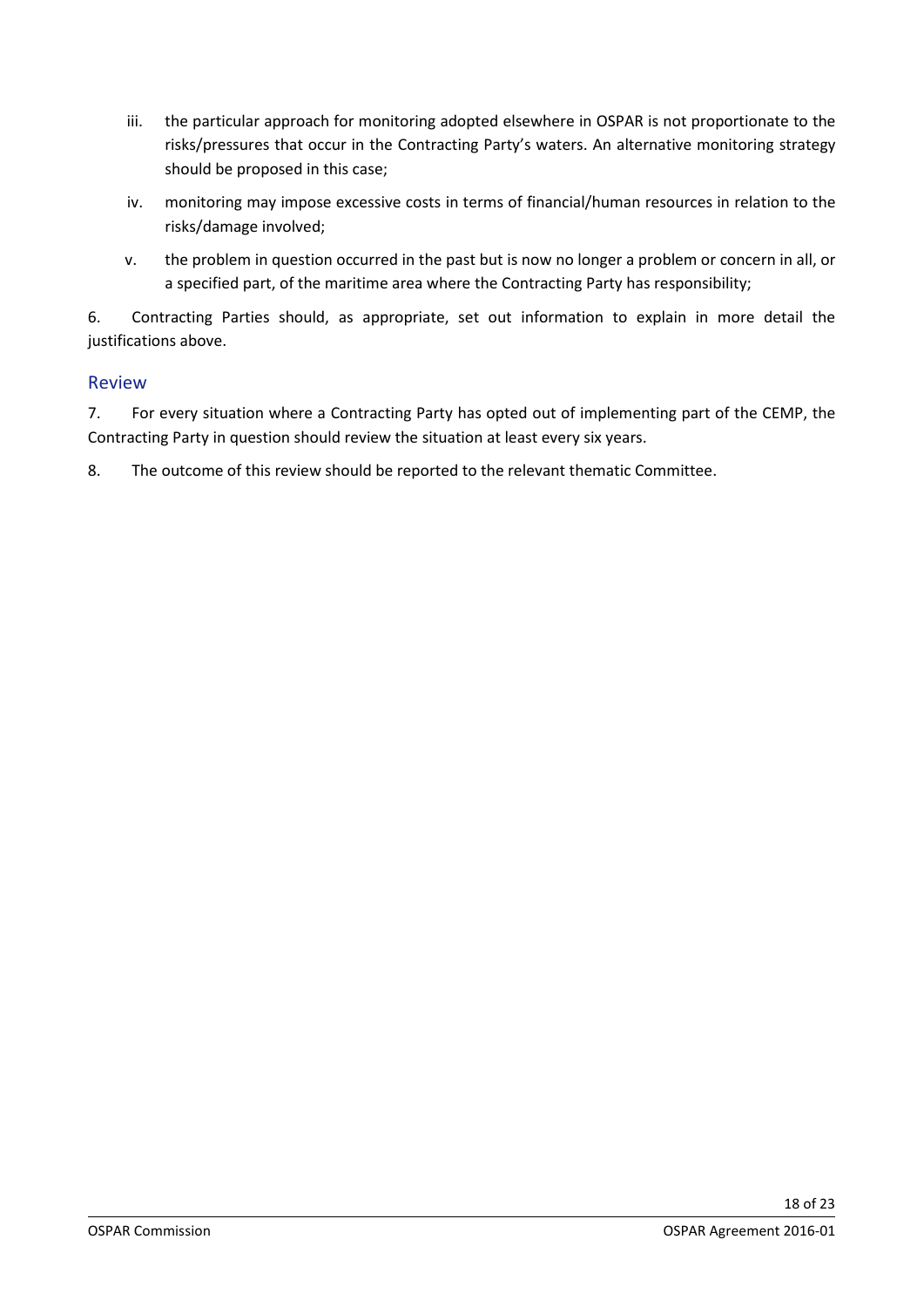- iii. the particular approach for monitoring adopted elsewhere in OSPAR is not proportionate to the risks/pressures that occur in the Contracting Party's waters. An alternative monitoring strategy should be proposed in this case;
- iv. monitoring may impose excessive costs in terms of financial/human resources in relation to the risks/damage involved;
- v. the problem in question occurred in the past but is now no longer a problem or concern in all, or a specified part, of the maritime area where the Contracting Party has responsibility;

6. Contracting Parties should, as appropriate, set out information to explain in more detail the justifications above.

### <span id="page-17-0"></span>Review

7. For every situation where a Contracting Party has opted out of implementing part of the CEMP, the Contracting Party in question should review the situation at least every six years.

8. The outcome of this review should be reported to the relevant thematic Committee.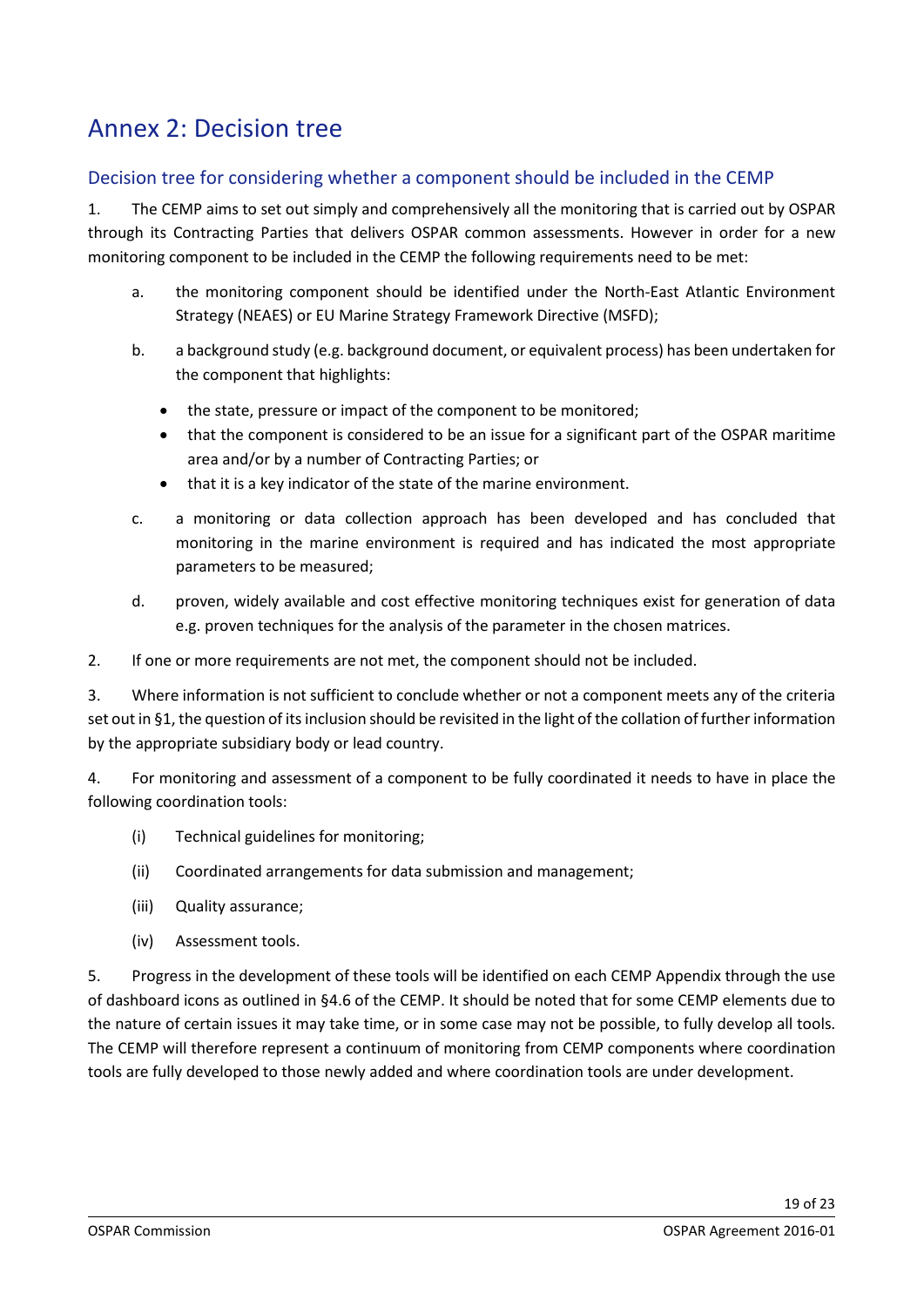## <span id="page-18-0"></span>Annex 2: Decision tree

### <span id="page-18-1"></span>Decision tree for considering whether a component should be included in the CEMP

1. The CEMP aims to set out simply and comprehensively all the monitoring that is carried out by OSPAR through its Contracting Parties that delivers OSPAR common assessments. However in order for a new monitoring component to be included in the CEMP the following requirements need to be met:

- a. the monitoring component should be identified under the North-East Atlantic Environment Strategy (NEAES) or EU Marine Strategy Framework Directive (MSFD);
- b. a background study (e.g. background document, or equivalent process) has been undertaken for the component that highlights:
	- the state, pressure or impact of the component to be monitored;
	- that the component is considered to be an issue for a significant part of the OSPAR maritime area and/or by a number of Contracting Parties; or
	- that it is a key indicator of the state of the marine environment.
- c. a monitoring or data collection approach has been developed and has concluded that monitoring in the marine environment is required and has indicated the most appropriate parameters to be measured;
- d. proven, widely available and cost effective monitoring techniques exist for generation of data e.g. proven techniques for the analysis of the parameter in the chosen matrices.

2. If one or more requirements are not met, the component should not be included.

3. Where information is not sufficient to conclude whether or not a component meets any of the criteria set out in §1, the question of its inclusion should be revisited in the light of the collation of further information by the appropriate subsidiary body or lead country.

4. For monitoring and assessment of a component to be fully coordinated it needs to have in place the following coordination tools:

- (i) Technical guidelines for monitoring;
- (ii) Coordinated arrangements for data submission and management;
- (iii) Quality assurance;
- (iv) Assessment tools.

5. Progress in the development of these tools will be identified on each CEMP Appendix through the use of dashboard icons as outlined in §4.6 of the CEMP. It should be noted that for some CEMP elements due to the nature of certain issues it may take time, or in some case may not be possible, to fully develop all tools. The CEMP will therefore represent a continuum of monitoring from CEMP components where coordination tools are fully developed to those newly added and where coordination tools are under development.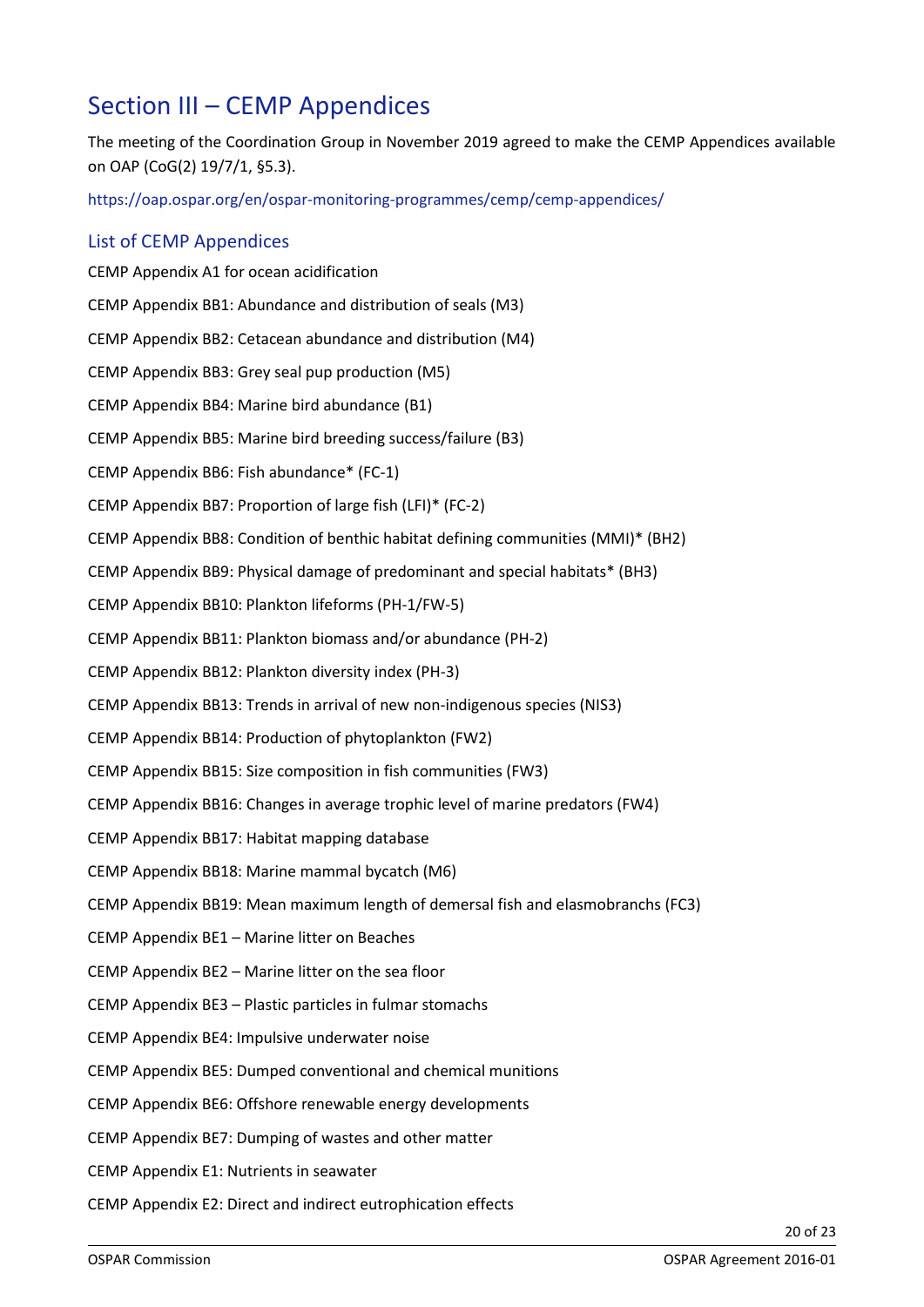## <span id="page-19-0"></span>Section III – CEMP Appendices

<span id="page-19-1"></span>The meeting of the Coordination Group in November 2019 agreed to make the CEMP Appendices available on OAP (CoG(2) 19/7/1, §5.3).

<https://oap.ospar.org/en/ospar-monitoring-programmes/cemp/cemp-appendices/>

### List of CEMP Appendices

CEMP Appendix A1 for ocean acidification CEMP Appendix BB1: Abundance and distribution of seals (M3) CEMP Appendix BB2: Cetacean abundance and distribution (M4) CEMP Appendix BB3: Grey seal pup production (M5) CEMP Appendix BB4: Marine bird abundance (B1) CEMP Appendix BB5: Marine bird breeding success/failure (B3) CEMP Appendix BB6: Fish abundance\* (FC-1) CEMP Appendix BB7: Proportion of large fish (LFI)\* (FC-2) CEMP Appendix BB8: Condition of benthic habitat defining communities (MMI)\* (BH2) CEMP Appendix BB9: Physical damage of predominant and special habitats\* (BH3) CEMP Appendix BB10: Plankton lifeforms (PH-1/FW-5) CEMP Appendix BB11: Plankton biomass and/or abundance (PH-2) CEMP Appendix BB12: Plankton diversity index (PH-3) CEMP Appendix BB13: Trends in arrival of new non-indigenous species (NIS3) CEMP Appendix BB14: Production of phytoplankton (FW2) CEMP Appendix BB15: Size composition in fish communities (FW3) CEMP Appendix BB16: Changes in average trophic level of marine predators (FW4) CEMP Appendix BB17: Habitat mapping database CEMP Appendix BB18: Marine mammal bycatch (M6) CEMP Appendix BB19: Mean maximum length of demersal fish and elasmobranchs (FC3) CEMP Appendix BE1 – Marine litter on Beaches CEMP Appendix BE2 – Marine litter on the sea floor CEMP Appendix BE3 – Plastic particles in fulmar stomachs CEMP Appendix BE4: Impulsive underwater noise CEMP Appendix BE5: Dumped conventional and chemical munitions CEMP Appendix BE6: Offshore renewable energy developments CEMP Appendix BE7: Dumping of wastes and other matter CEMP Appendix E1: Nutrients in seawater CEMP Appendix E2: Direct and indirect eutrophication effects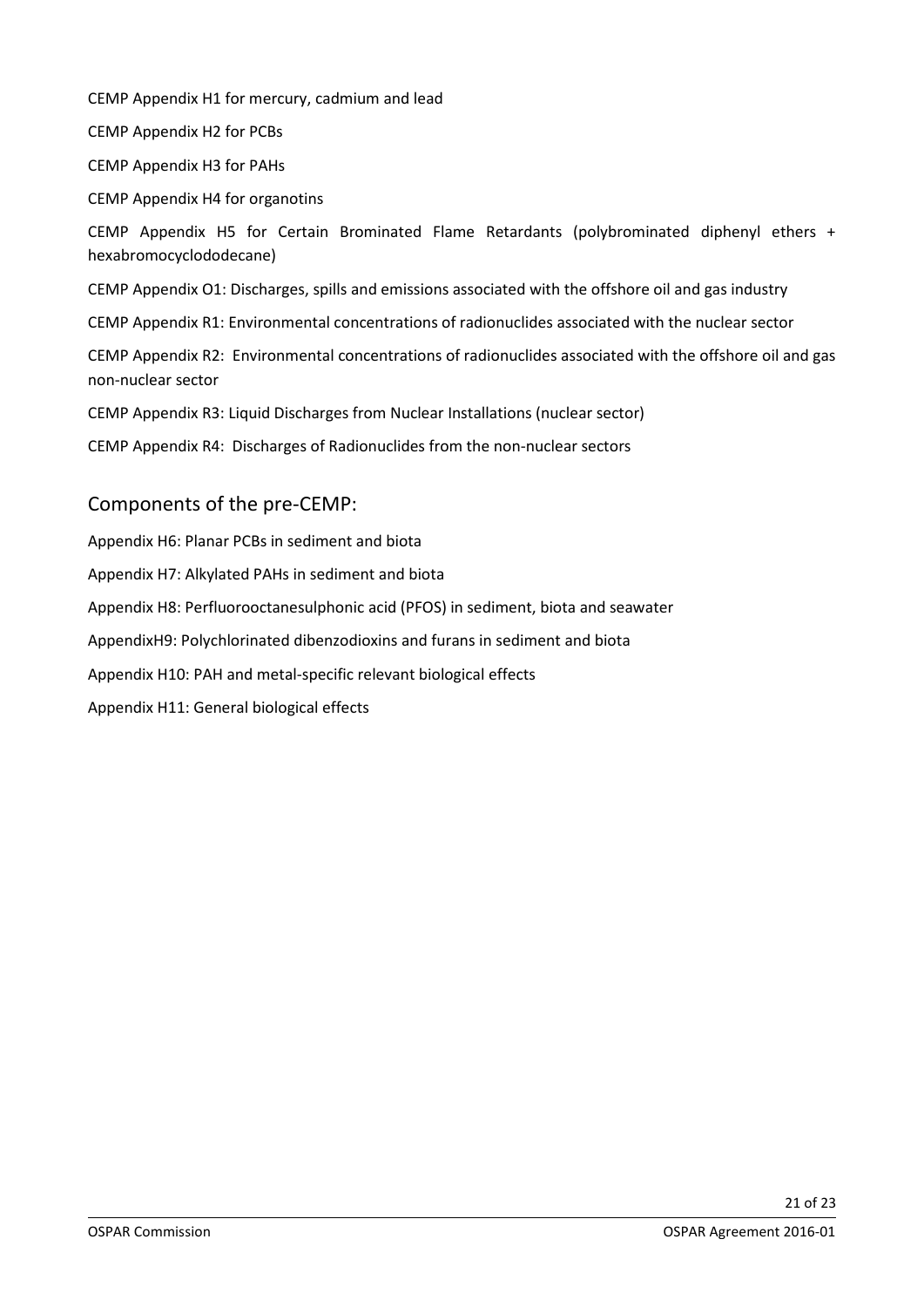CEMP Appendix H1 for mercury, cadmium and lead

CEMP Appendix H2 for PCBs

CEMP Appendix H3 for PAHs

CEMP Appendix H4 for organotins

CEMP Appendix H5 for Certain Brominated Flame Retardants (polybrominated diphenyl ethers + hexabromocyclododecane)

CEMP Appendix O1: Discharges, spills and emissions associated with the offshore oil and gas industry

CEMP Appendix R1: Environmental concentrations of radionuclides associated with the nuclear sector

CEMP Appendix R2: Environmental concentrations of radionuclides associated with the offshore oil and gas non-nuclear sector

CEMP Appendix R3: Liquid Discharges from Nuclear Installations (nuclear sector)

CEMP Appendix R4: Discharges of Radionuclides from the non-nuclear sectors

## Components of the pre-CEMP:

Appendix H6: Planar PCBs in sediment and biota Appendix H7: Alkylated PAHs in sediment and biota Appendix H8: Perfluorooctanesulphonic acid (PFOS) in sediment, biota and seawater AppendixH9: Polychlorinated dibenzodioxins and furans in sediment and biota Appendix H10: PAH and metal-specific relevant biological effects Appendix H11: General biological effects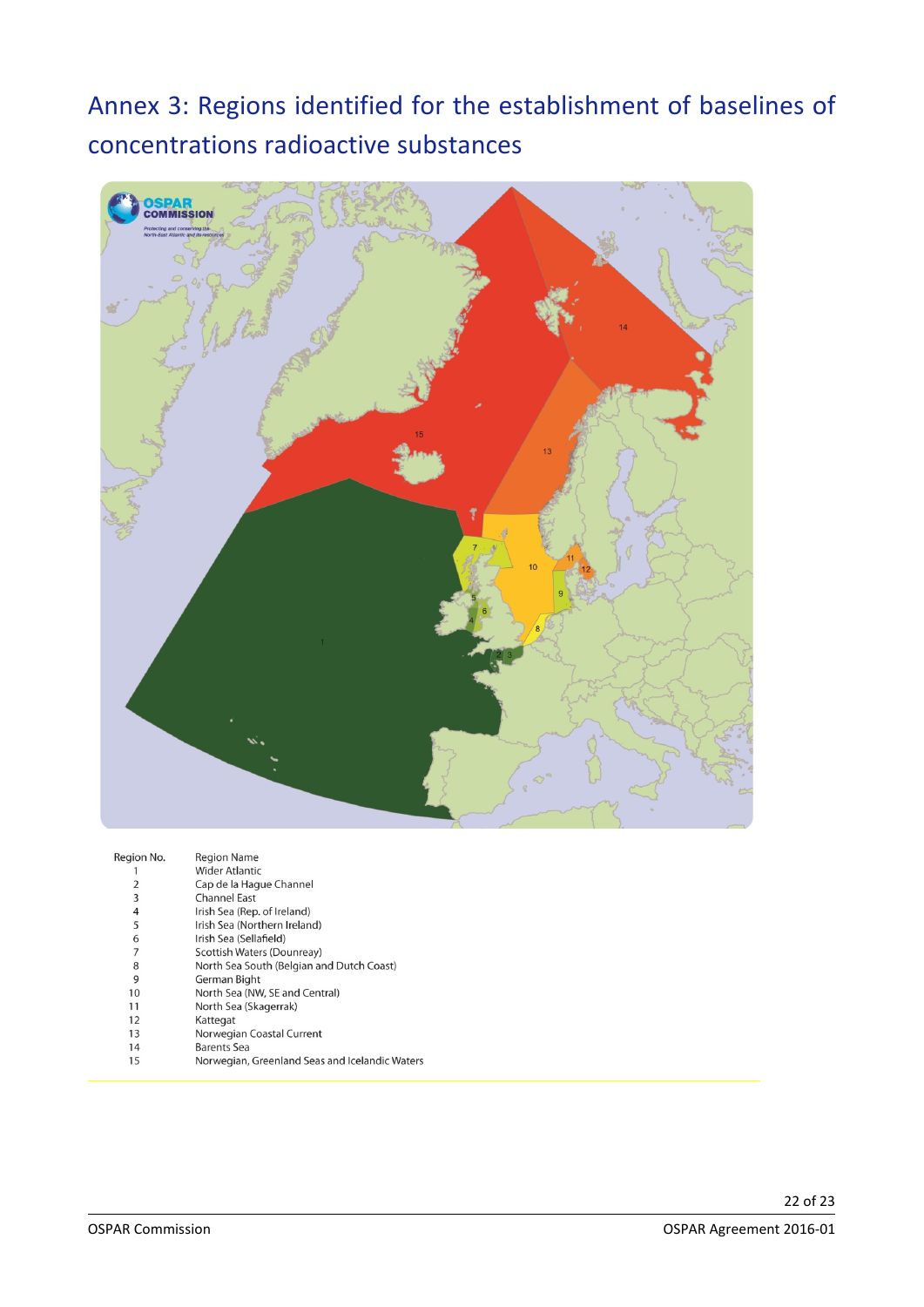## <span id="page-21-0"></span>Annex 3: Regions identified for the establishment of baselines of concentrations radioactive substances



| Region No. | <b>Region Name</b>                             |
|------------|------------------------------------------------|
|            | <b>Wider Atlantic</b>                          |
| 2          | Cap de la Haque Channel                        |
| 3          | <b>Channel East</b>                            |
| 4          | Irish Sea (Rep. of Ireland)                    |
| 5          | Irish Sea (Northern Ireland)                   |
| 6          | Irish Sea (Sellafield)                         |
| 7          | Scottish Waters (Dounreay)                     |
| 8          | North Sea South (Belgian and Dutch Coast)      |
| 9          | German Bight                                   |
| 10         | North Sea (NW, SE and Central)                 |
| 11         | North Sea (Skagerrak)                          |
| 12         | Kattegat                                       |
| 13         | Norwegian Coastal Current                      |
| 14         | Barents Sea                                    |
| 15         | Norwegian, Greenland Seas and Icelandic Waters |